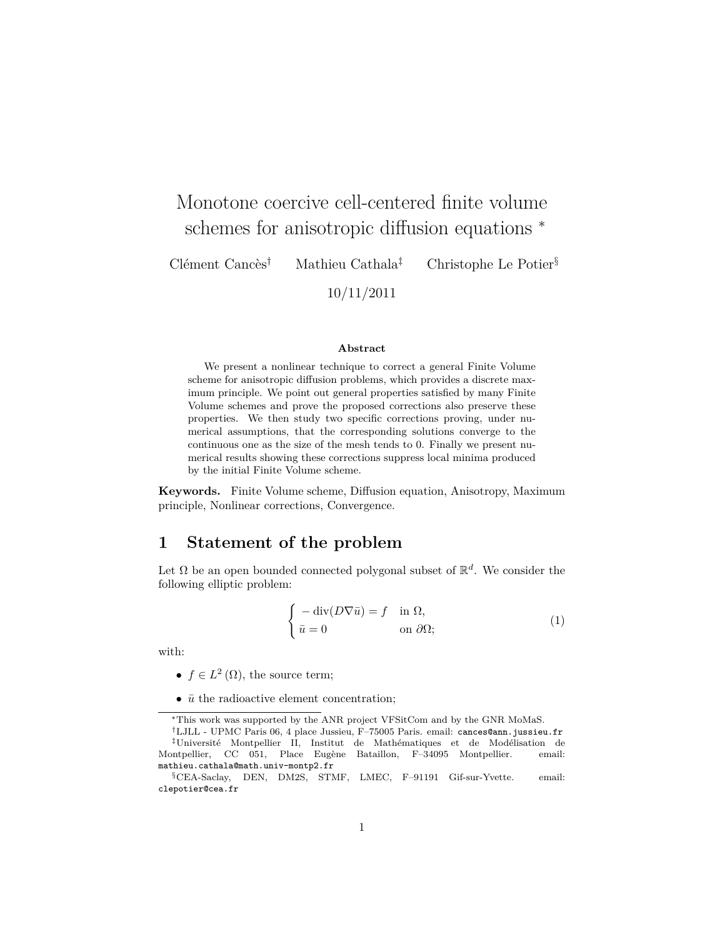# Monotone coercive cell-centered finite volume schemes for anisotropic diffusion equations  $*$

Clément Cancès† Mathieu Cathala‡ Christophe Le Potier§

10/11/2011

#### **Abstract**

We present a nonlinear technique to correct a general Finite Volume scheme for anisotropic diffusion problems, which provides a discrete maximum principle. We point out general properties satisfied by many Finite Volume schemes and prove the proposed corrections also preserve these properties. We then study two specific corrections proving, under numerical assumptions, that the corresponding solutions converge to the continuous one as the size of the mesh tends to 0. Finally we present numerical results showing these corrections suppress local minima produced by the initial Finite Volume scheme.

**Keywords.** Finite Volume scheme, Diffusion equation, Anisotropy, Maximum principle, Nonlinear corrections, Convergence.

# **1 Statement of the problem**

Let  $\Omega$  be an open bounded connected polygonal subset of  $\mathbb{R}^d$ . We consider the following elliptic problem:

$$
\begin{cases}\n-\operatorname{div}(D\nabla\bar{u}) = f & \text{in } \Omega, \\
\bar{u} = 0 & \text{on } \partial\Omega;\n\end{cases}
$$
\n(1)

with:

- $f \in L^2(\Omega)$ , the source term;
- $\bar{u}$  the radioactive element concentration;

<sup>∗</sup>This work was supported by the ANR project VFSitCom and by the GNR MoMaS.

<sup>†</sup>LJLL - UPMC Paris 06, 4 place Jussieu, F–75005 Paris. email: cances@ann.jussieu.fr ‡Université Montpellier II, Institut de Mathématiques et de Modélisation de Montpellier, CC 051, Place Eugène Bataillon, F–34095 Montpellier. email: mathieu.cathala@math.univ-montp2.fr

<sup>§</sup>CEA-Saclay, DEN, DM2S, STMF, LMEC, F–91191 Gif-sur-Yvette. email: clepotier@cea.fr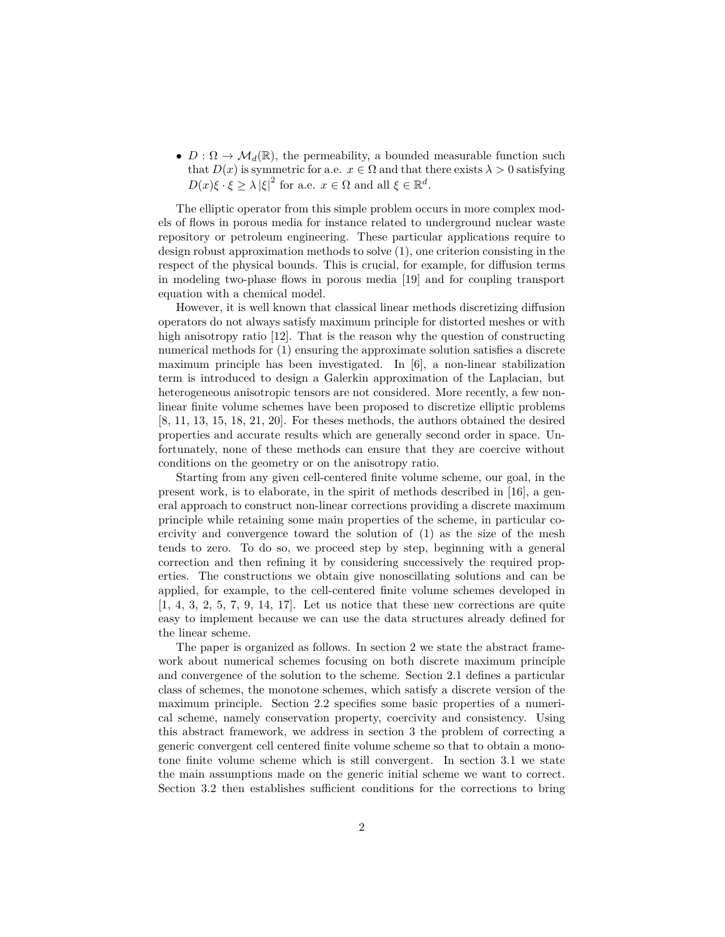•  $D: \Omega \to \mathcal{M}_d(\mathbb{R})$ , the permeability, a bounded measurable function such that  $D(x)$  is symmetric for a.e.  $x \in \Omega$  and that there exists  $\lambda > 0$  satisfying  $D(x)\xi \cdot \xi \geq \lambda |\xi|^2$  for a.e.  $x \in \Omega$  and all  $\xi \in \mathbb{R}^d$ .

The elliptic operator from this simple problem occurs in more complex models of flows in porous media for instance related to underground nuclear waste repository or petroleum engineering. These particular applications require to design robust approximation methods to solve (1), one criterion consisting in the respect of the physical bounds. This is crucial, for example, for diffusion terms in modeling two-phase flows in porous media [19] and for coupling transport equation with a chemical model.

However, it is well known that classical linear methods discretizing diffusion operators do not always satisfy maximum principle for distorted meshes or with high anisotropy ratio [12]. That is the reason why the question of constructing numerical methods for (1) ensuring the approximate solution satisfies a discrete maximum principle has been investigated. In [6], a non-linear stabilization term is introduced to design a Galerkin approximation of the Laplacian, but heterogeneous anisotropic tensors are not considered. More recently, a few nonlinear finite volume schemes have been proposed to discretize elliptic problems [8, 11, 13, 15, 18, 21, 20]. For theses methods, the authors obtained the desired properties and accurate results which are generally second order in space. Unfortunately, none of these methods can ensure that they are coercive without conditions on the geometry or on the anisotropy ratio.

Starting from any given cell-centered finite volume scheme, our goal, in the present work, is to elaborate, in the spirit of methods described in [16], a general approach to construct non-linear corrections providing a discrete maximum principle while retaining some main properties of the scheme, in particular coercivity and convergence toward the solution of (1) as the size of the mesh tends to zero. To do so, we proceed step by step, beginning with a general correction and then refining it by considering successively the required properties. The constructions we obtain give nonoscillating solutions and can be applied, for example, to the cell-centered finite volume schemes developed in [1, 4, 3, 2, 5, 7, 9, 14, 17]. Let us notice that these new corrections are quite easy to implement because we can use the data structures already defined for the linear scheme.

The paper is organized as follows. In section 2 we state the abstract framework about numerical schemes focusing on both discrete maximum principle and convergence of the solution to the scheme. Section 2.1 defines a particular class of schemes, the monotone schemes, which satisfy a discrete version of the maximum principle. Section 2.2 specifies some basic properties of a numerical scheme, namely conservation property, coercivity and consistency. Using this abstract framework, we address in section 3 the problem of correcting a generic convergent cell centered finite volume scheme so that to obtain a monotone finite volume scheme which is still convergent. In section 3.1 we state the main assumptions made on the generic initial scheme we want to correct. Section 3.2 then establishes sufficient conditions for the corrections to bring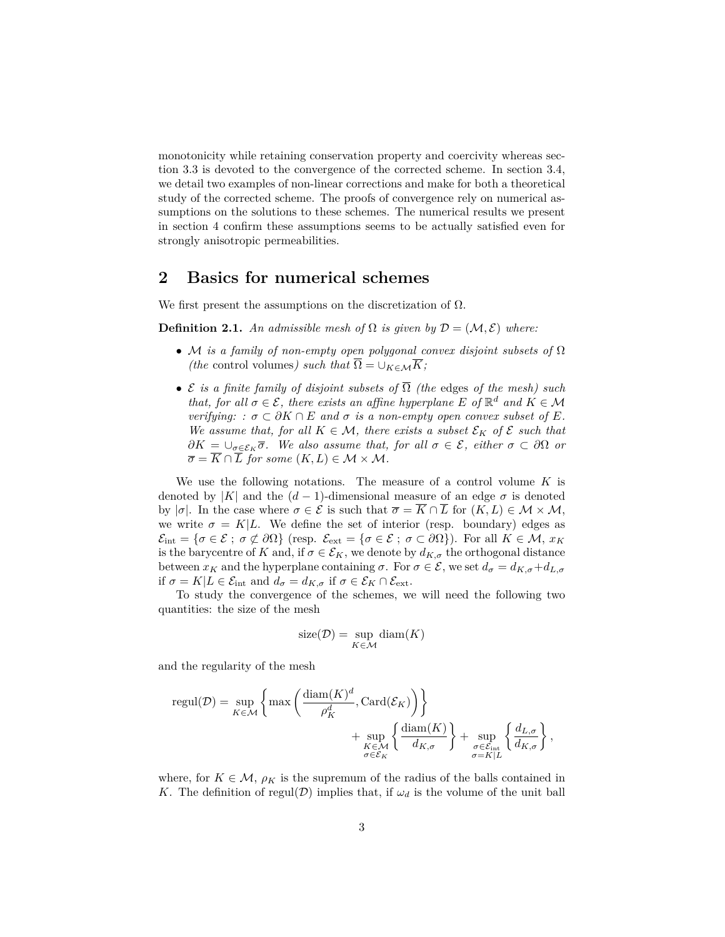monotonicity while retaining conservation property and coercivity whereas section 3.3 is devoted to the convergence of the corrected scheme. In section 3.4, we detail two examples of non-linear corrections and make for both a theoretical study of the corrected scheme. The proofs of convergence rely on numerical assumptions on the solutions to these schemes. The numerical results we present in section 4 confirm these assumptions seems to be actually satisfied even for strongly anisotropic permeabilities.

### **2 Basics for numerical schemes**

We first present the assumptions on the discretization of  $\Omega$ .

**Definition 2.1.** An admissible mesh of  $\Omega$  is given by  $\mathcal{D} = (\mathcal{M}, \mathcal{E})$  where:

- M *is a family of non-empty open polygonal convex disjoint subsets of* Ω *(the* control volumes*)* such that  $\Omega = \bigcup_{K \in \mathcal{M}} K$ *;*
- E *is a finite family of disjoint subsets of* Ω *(the* edges *of the mesh) such that, for all*  $\sigma \in \mathcal{E}$ *, there exists an affine hyperplane*  $E$  *of*  $\mathbb{R}^d$  *and*  $K \in \mathcal{M}$ *verifying:*  $: \sigma \subset \partial K \cap E$  *and*  $\sigma$  *is a non-empty open convex subset of*  $E$ *. We assume that, for all*  $K \in \mathcal{M}$ *, there exists a subset*  $\mathcal{E}_K$  *of*  $\mathcal{E}$  *such that*  $\partial K = \bigcup_{\sigma \in \mathcal{E}_K} \overline{\sigma}$ *. We also assume that, for all*  $\sigma \in \mathcal{E}$ *, either*  $\sigma \subset \partial \Omega$  *or*  $\overline{\sigma} = K \cap L$  *for some*  $(K, L) \in \mathcal{M} \times \mathcal{M}$ .

We use the following notations. The measure of a control volume *K* is denoted by |*K*| and the  $(d-1)$ -dimensional measure of an edge  $\sigma$  is denoted by  $|\sigma|$ . In the case where  $\sigma \in \mathcal{E}$  is such that  $\overline{\sigma} = \overline{K} \cap \overline{L}$  for  $(K, L) \in \mathcal{M} \times \mathcal{M}$ , we write  $\sigma = K|L$ . We define the set of interior (resp. boundary) edges as  $\mathcal{E}_{\text{int}} = {\sigma \in \mathcal{E} \; ; \; \sigma \not\subset \partial \Omega}$  (resp.  $\mathcal{E}_{\text{ext}} = {\sigma \in \mathcal{E} \; ; \; \sigma \subset \partial \Omega}$ ). For all  $K \in \mathcal{M}, x_K$ is the barycentre of *K* and, if  $\sigma \in \mathcal{E}_K$ , we denote by  $d_{K,\sigma}$  the orthogonal distance between  $x_K$  and the hyperplane containing  $\sigma$ . For  $\sigma \in \mathcal{E}$ , we set  $d_{\sigma} = d_{K,\sigma} + d_{L,\sigma}$ if  $\sigma = K | L \in \mathcal{E}_{int}$  and  $d_{\sigma} = d_{K, \sigma}$  if  $\sigma \in \mathcal{E}_K \cap \mathcal{E}_{ext}$ .

To study the convergence of the schemes, we will need the following two quantities: the size of the mesh

$$
size(\mathcal{D}) = \sup_{K \in \mathcal{M}} diam(K)
$$

and the regularity of the mesh

$$
\text{regul}(\mathcal{D}) = \sup_{K \in \mathcal{M}} \left\{ \max \left( \frac{\text{diam}(K)^d}{\rho_K^d}, \text{Card}(\mathcal{E}_K) \right) \right\} + \sup_{\substack{K \in \mathcal{M} \\ \sigma \in \mathcal{E}_K}} \left\{ \frac{\text{diam}(K)}{d_{K,\sigma}} \right\} + \sup_{\substack{\sigma \in \mathcal{E}_{\text{int}} \\ \sigma = K | L}} \left\{ \frac{d_{L,\sigma}}{d_{K,\sigma}} \right\},
$$

where, for  $K \in \mathcal{M}$ ,  $\rho_K$  is the supremum of the radius of the balls contained in *K*. The definition of regul $(\mathcal{D})$  implies that, if  $\omega_d$  is the volume of the unit ball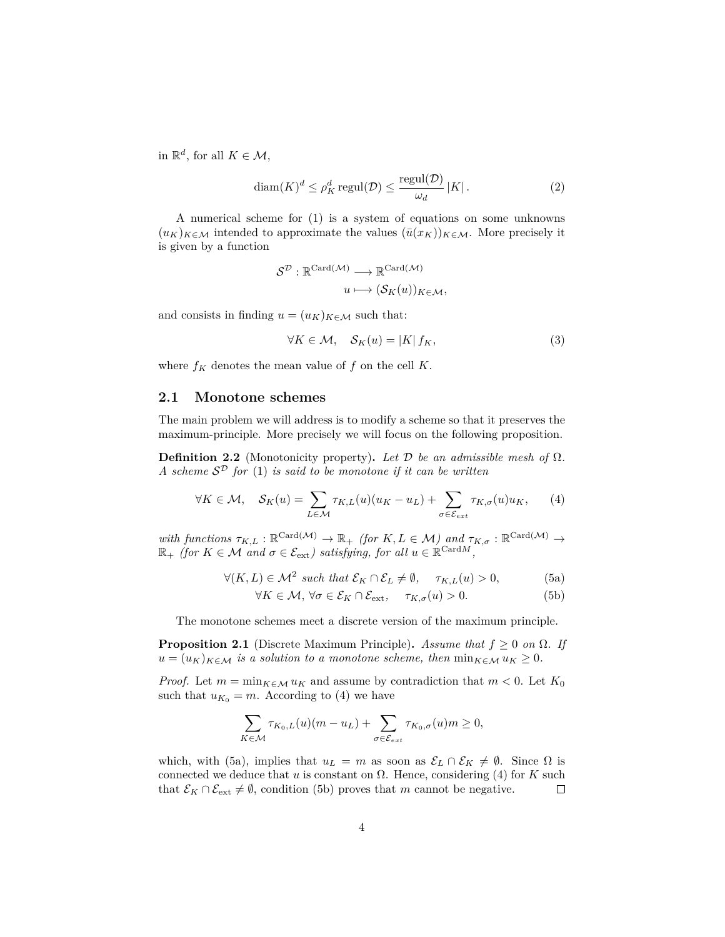in  $\mathbb{R}^d$ , for all  $K \in \mathcal{M}$ ,

$$
diam(K)^d \le \rho_K^d \text{regul}(\mathcal{D}) \le \frac{\text{regul}(\mathcal{D})}{\omega_d} |K| \,. \tag{2}
$$

A numerical scheme for (1) is a system of equations on some unknowns  $(u_K)_{K \in \mathcal{M}}$  intended to approximate the values  $(\bar{u}(x_K))_{K \in \mathcal{M}}$ . More precisely it is given by a function

$$
\mathcal{S}^{\mathcal{D}} : \mathbb{R}^{\mathrm{Card}(\mathcal{M})} \longrightarrow \mathbb{R}^{\mathrm{Card}(\mathcal{M})}
$$

$$
u \longmapsto (\mathcal{S}_K(u))_{K \in \mathcal{M}},
$$

and consists in finding  $u = (u_K)_{K \in \mathcal{M}}$  such that:

$$
\forall K \in \mathcal{M}, \quad \mathcal{S}_K(u) = |K| f_K,\tag{3}
$$

where  $f_K$  denotes the mean value of  $f$  on the cell  $K$ .

#### **2.1 Monotone schemes**

The main problem we will address is to modify a scheme so that it preserves the maximum-principle. More precisely we will focus on the following proposition.

**Definition 2.2** (Monotonicity property). Let  $\mathcal{D}$  be an admissible mesh of  $\Omega$ . *A scheme* S <sup>D</sup> *for* (1) *is said to be monotone if it can be written*

$$
\forall K \in \mathcal{M}, \quad \mathcal{S}_K(u) = \sum_{L \in \mathcal{M}} \tau_{K,L}(u)(u_K - u_L) + \sum_{\sigma \in \mathcal{E}_{ext}} \tau_{K,\sigma}(u)u_K, \qquad (4)
$$

with functions  $\tau_{K,L} : \mathbb{R}^{\text{Card}(\mathcal{M})} \to \mathbb{R}_+$  *(for*  $K, L \in \mathcal{M}$ *)* and  $\tau_{K,\sigma} : \mathbb{R}^{\text{Card}(\mathcal{M})} \to$  $\mathbb{R}_+$  *(for*  $K \in \mathcal{M}$  *and*  $\sigma \in \mathcal{E}_{ext}$ *) satisfying, for all*  $u \in \mathbb{R}^{\text{Card}M}$ *,* 

$$
\forall (K, L) \in \mathcal{M}^2 \text{ such that } \mathcal{E}_K \cap \mathcal{E}_L \neq \emptyset, \quad \tau_{K, L}(u) > 0,
$$
 (5a)

$$
\forall K \in \mathcal{M}, \,\forall \sigma \in \mathcal{E}_K \cap \mathcal{E}_{\text{ext}}, \quad \tau_{K,\sigma}(u) > 0. \tag{5b}
$$

The monotone schemes meet a discrete version of the maximum principle.

**Proposition 2.1** (Discrete Maximum Principle). *Assume that*  $f \geq 0$  *on*  $\Omega$ *. If*  $u = (u_K)_{K \in \mathcal{M}}$  *is a solution to a monotone scheme, then*  $\min_{K \in \mathcal{M}} u_K \geq 0$ .

*Proof.* Let  $m = \min_{K \in \mathcal{M}} u_K$  and assume by contradiction that  $m < 0$ . Let  $K_0$ such that  $u_{K_0} = m$ . According to (4) we have

$$
\sum_{K \in \mathcal{M}} \tau_{K_0, L}(u)(m - u_L) + \sum_{\sigma \in \mathcal{E}_{ext}} \tau_{K_0, \sigma}(u)m \ge 0,
$$

which, with (5a), implies that  $u_L = m$  as soon as  $\mathcal{E}_L \cap \mathcal{E}_K \neq \emptyset$ . Since  $\Omega$  is connected we deduce that  $u$  is constant on  $\Omega$ . Hence, considering (4) for  $K$  such that  $\mathcal{E}_K \cap \mathcal{E}_{ext} \neq \emptyset$ , condition (5b) proves that *m* cannot be negative.  $\Box$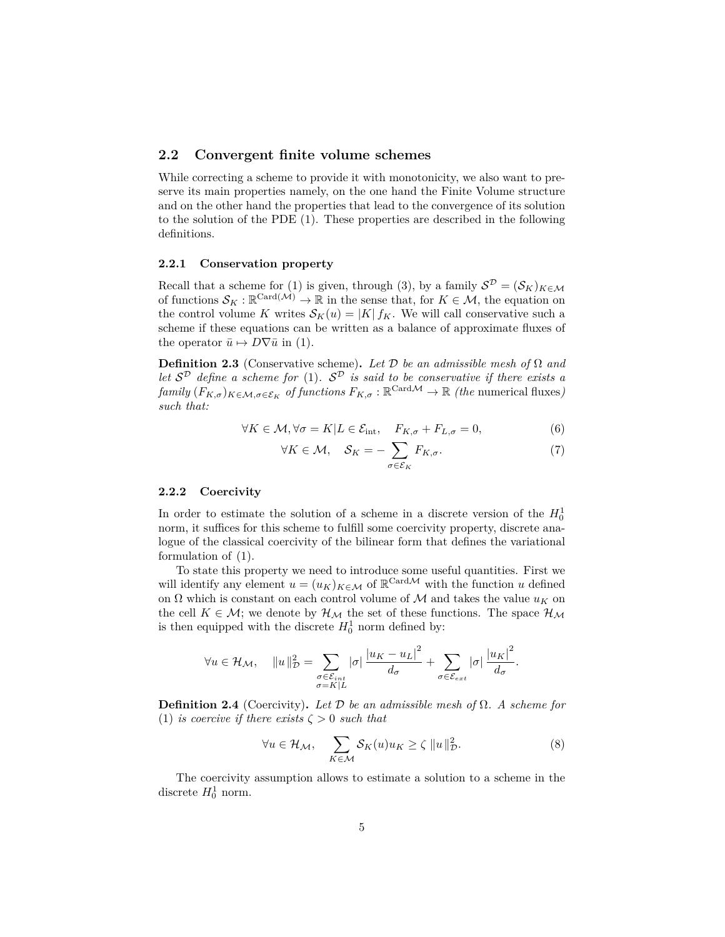#### **2.2 Convergent finite volume schemes**

While correcting a scheme to provide it with monotonicity, we also want to preserve its main properties namely, on the one hand the Finite Volume structure and on the other hand the properties that lead to the convergence of its solution to the solution of the PDE (1). These properties are described in the following definitions.

#### **2.2.1 Conservation property**

Recall that a scheme for (1) is given, through (3), by a family  $S^D = (S_K)_{K \in \mathcal{M}}$ of functions  $\mathcal{S}_K : \mathbb{R}^{\text{Card}(\mathcal{M})} \to \mathbb{R}$  in the sense that, for  $K \in \mathcal{M}$ , the equation on the control volume *K* writes  $S_K(u) = |K| f_K$ . We will call conservative such a scheme if these equations can be written as a balance of approximate fluxes of the operator  $\bar{u} \mapsto D\nabla \bar{u}$  in (1).

**Definition 2.3** (Conservative scheme). Let D be an admissible mesh of  $\Omega$  and *let*  $S^{\mathcal{D}}$  *define a scheme for* (1).  $S^{\mathcal{D}}$  *is said to be conservative if there exists a*  $family (F_{K,\sigma})_{K \in \mathcal{M}, \sigma \in \mathcal{E}_K}$  *of functions*  $F_{K,\sigma} : \mathbb{R}^{\text{Card}\mathcal{M}} \to \mathbb{R}$  *(the* numerical fluxes) *such that:*

$$
\forall K \in \mathcal{M}, \forall \sigma = K | L \in \mathcal{E}_{\text{int}}, \quad F_{K,\sigma} + F_{L,\sigma} = 0,\tag{6}
$$

$$
\forall K \in \mathcal{M}, \quad \mathcal{S}_K = -\sum_{\sigma \in \mathcal{E}_K} F_{K,\sigma}.\tag{7}
$$

#### **2.2.2 Coercivity**

In order to estimate the solution of a scheme in a discrete version of the  $H_0^1$ norm, it suffices for this scheme to fulfill some coercivity property, discrete analogue of the classical coercivity of the bilinear form that defines the variational formulation of (1).

To state this property we need to introduce some useful quantities. First we will identify any element  $u = (u_K)_{K \in \mathcal{M}}$  of  $\mathbb{R}^{\text{Card}\mathcal{M}}$  with the function *u* defined on  $\Omega$  which is constant on each control volume of  $\mathcal M$  and takes the value  $u_K$  on the cell  $K \in \mathcal{M}$ ; we denote by  $\mathcal{H}_{\mathcal{M}}$  the set of these functions. The space  $\mathcal{H}_{\mathcal{M}}$ is then equipped with the discrete  $H_0^1$  norm defined by:

$$
\forall u \in \mathcal{H}_{\mathcal{M}}, \quad \|u\|_{\mathcal{D}}^2 = \sum_{\substack{\sigma \in \mathcal{E}_{int} \\ \sigma = K|L}} |\sigma| \frac{|u_K - u_L|^2}{d_{\sigma}} + \sum_{\sigma \in \mathcal{E}_{ext}} |\sigma| \frac{|u_K|^2}{d_{\sigma}}.
$$

**Definition 2.4** (Coercivity). Let  $\mathcal{D}$  be an admissible mesh of  $\Omega$ . A scheme for (1) *is coercive if there exists*  $\zeta > 0$  *such that* 

$$
\forall u \in \mathcal{H}_{\mathcal{M}}, \quad \sum_{K \in \mathcal{M}} \mathcal{S}_{K}(u) u_{K} \ge \zeta \, \|u\|_{\mathcal{D}}^{2}.
$$
 (8)

The coercivity assumption allows to estimate a solution to a scheme in the discrete  $H_0^1$  norm.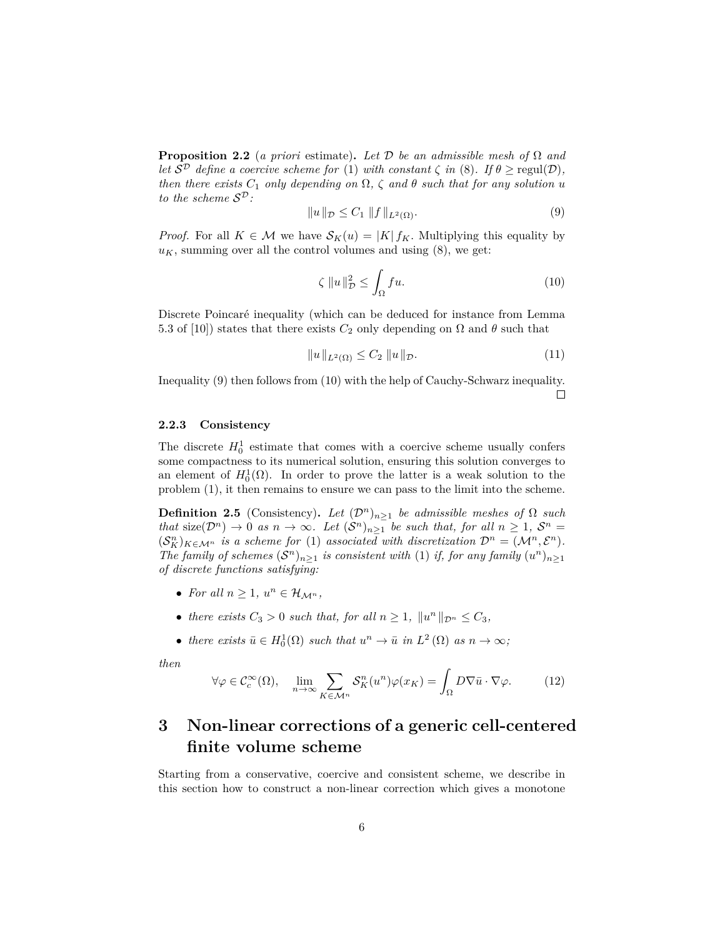**Proposition 2.2** (*a priori* estimate). Let  $D$  *be an admissible mesh of*  $\Omega$  *and let*  $S^{\mathcal{D}}$  *define a coercive scheme for* (1) *with constant*  $\zeta$  *in* (8)*.* If  $\theta \ge \text{regul}(\mathcal{D})$ *, then there exists*  $C_1$  *only depending on*  $\Omega$ ,  $\zeta$  *and*  $\theta$  *such that for any solution u to the scheme* S D*:*

$$
||u||_{\mathcal{D}} \leq C_1 ||f||_{L^2(\Omega)}.
$$
\n(9)

*Proof.* For all  $K \in \mathcal{M}$  we have  $\mathcal{S}_K(u) = |K| f_K$ . Multiplying this equality by  $u_K$ , summing over all the control volumes and using  $(8)$ , we get:

$$
\zeta \|u\|_{\mathcal{D}}^2 \le \int_{\Omega} f u. \tag{10}
$$

Discrete Poincaré inequality (which can be deduced for instance from Lemma 5.3 of [10]) states that there exists  $C_2$  only depending on  $\Omega$  and  $\theta$  such that

$$
||u||_{L^{2}(\Omega)} \leq C_{2} ||u||_{\mathcal{D}}.
$$
\n(11)

Inequality (9) then follows from (10) with the help of Cauchy-Schwarz inequality.  $\Box$ 

#### **2.2.3 Consistency**

The discrete  $H_0^1$  estimate that comes with a coercive scheme usually confers some compactness to its numerical solution, ensuring this solution converges to an element of  $H_0^1(\Omega)$ . In order to prove the latter is a weak solution to the problem (1), it then remains to ensure we can pass to the limit into the scheme.

**Definition 2.5** (Consistency). Let  $(\mathcal{D}^n)_{n\geq 1}$  be admissible meshes of  $\Omega$  such *that* size( $\mathcal{D}^n$ )  $\to 0$  *as*  $n \to \infty$ *. Let*  $(\mathcal{S}^n)_{n \geq 1}$  *be such that, for all*  $n \geq 1$ ,  $\mathcal{S}^n =$  $(S_K^n)_{K \in \mathcal{M}^n}$  *is a scheme for* (1) *associated with discretization*  $\mathcal{D}^n = (\mathcal{M}^n, \mathcal{E}^n)$ *. The family of schemes*  $(S^n)_{n\geq 1}$  *is consistent with* (1) *if, for any family*  $(u^n)_{n\geq 1}$ *of discrete functions satisfying:*

- For all  $n \geq 1$ ,  $u^n \in \mathcal{H}_{\mathcal{M}^n}$ ,
- *there exists*  $C_3 > 0$  *such that, for all*  $n \geq 1$ *,*  $||u^n||_{\mathcal{D}^n} \leq C_3$ *,*
- there exists  $\bar{u} \in H_0^1(\Omega)$  such that  $u^n \to \bar{u}$  in  $L^2(\Omega)$  as  $n \to \infty$ ;

*then*

$$
\forall \varphi \in \mathcal{C}_c^{\infty}(\Omega), \quad \lim_{n \to \infty} \sum_{K \in \mathcal{M}^n} \mathcal{S}_K^n(u^n) \varphi(x_K) = \int_{\Omega} D \nabla \bar{u} \cdot \nabla \varphi. \tag{12}
$$

# **3 Non-linear corrections of a generic cell-centered finite volume scheme**

Starting from a conservative, coercive and consistent scheme, we describe in this section how to construct a non-linear correction which gives a monotone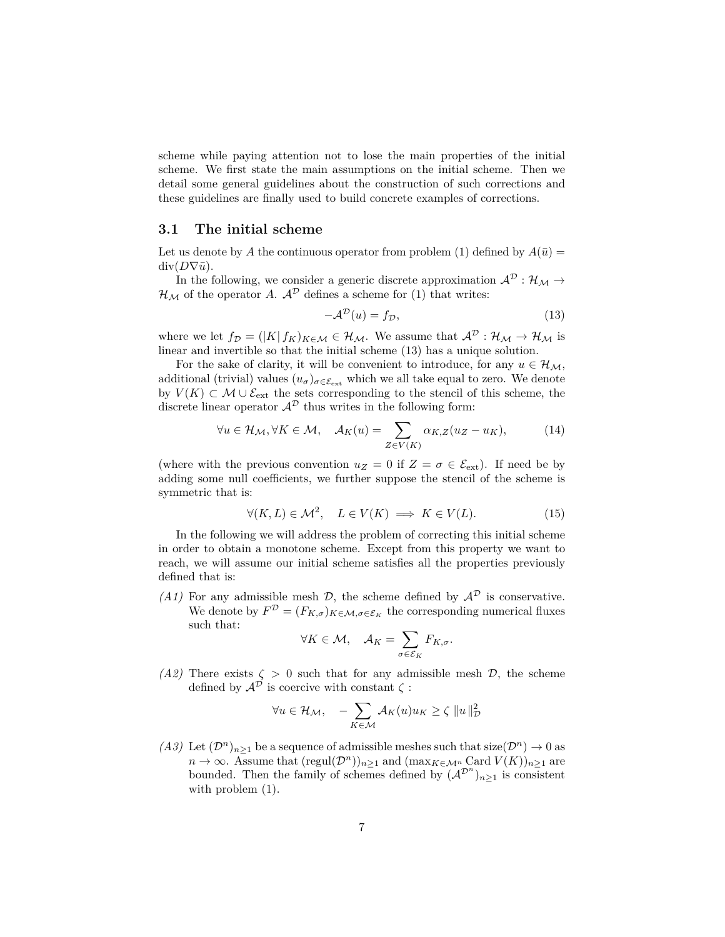scheme while paying attention not to lose the main properties of the initial scheme. We first state the main assumptions on the initial scheme. Then we detail some general guidelines about the construction of such corrections and these guidelines are finally used to build concrete examples of corrections.

#### **3.1 The initial scheme**

Let us denote by A the continuous operator from problem (1) defined by  $A(\bar{u}) =$  $div(D\nabla \bar{u})$ .

In the following, we consider a generic discrete approximation  $\mathcal{A}^{\mathcal{D}}: \mathcal{H}_{\mathcal{M}} \to$  $\mathcal{H}_{\mathcal{M}}$  of the operator *A*.  $\mathcal{A}^{\mathcal{D}}$  defines a scheme for (1) that writes:

$$
-\mathcal{A}^{\mathcal{D}}(u) = f_{\mathcal{D}},\tag{13}
$$

where we let  $f_{\mathcal{D}} = (|K| f_K)_{K \in \mathcal{M}} \in \mathcal{H}_{\mathcal{M}}$ . We assume that  $\mathcal{A}^{\mathcal{D}} : \mathcal{H}_{\mathcal{M}} \to \mathcal{H}_{\mathcal{M}}$  is linear and invertible so that the initial scheme (13) has a unique solution.

For the sake of clarity, it will be convenient to introduce, for any  $u \in \mathcal{H}_{\mathcal{M}}$ , additional (trivial) values  $(u_{\sigma})_{\sigma \in \mathcal{E}_{ext}}$  which we all take equal to zero. We denote by  $V(K) \subset \mathcal{M} \cup \mathcal{E}_{ext}$  the sets corresponding to the stencil of this scheme, the discrete linear operator  $\mathcal{A}^{\mathcal{D}}$  thus writes in the following form:

$$
\forall u \in \mathcal{H}_{\mathcal{M}}, \forall K \in \mathcal{M}, \quad \mathcal{A}_{K}(u) = \sum_{Z \in V(K)} \alpha_{K,Z}(u_Z - u_K), \tag{14}
$$

(where with the previous convention  $u_Z = 0$  if  $Z = \sigma \in \mathcal{E}_{ext}$ ). If need be by adding some null coefficients, we further suppose the stencil of the scheme is symmetric that is:

$$
\forall (K, L) \in \mathcal{M}^2, \quad L \in V(K) \implies K \in V(L). \tag{15}
$$

In the following we will address the problem of correcting this initial scheme in order to obtain a monotone scheme. Except from this property we want to reach, we will assume our initial scheme satisfies all the properties previously defined that is:

*(A1)* For any admissible mesh  $\mathcal{D}$ , the scheme defined by  $\mathcal{A}^{\mathcal{D}}$  is conservative. We denote by  $F^{\mathcal{D}} = (F_{K,\sigma})_{K \in \mathcal{M}, \sigma \in \mathcal{E}_K}$  the corresponding numerical fluxes such that:

$$
\forall K \in \mathcal{M}, \quad \mathcal{A}_K = \sum_{\sigma \in \mathcal{E}_K} F_{K,\sigma}.
$$

*(A2)* There exists  $\zeta > 0$  such that for any admissible mesh  $\mathcal{D}$ , the scheme defined by  $\mathcal{A}^{\mathcal{D}}$  is coercive with constant  $\zeta$ :

$$
\forall u \in \mathcal{H}_{\mathcal{M}}, \quad -\sum_{K \in \mathcal{M}} \mathcal{A}_K(u) u_K \ge \zeta \, \|u\|_{\mathcal{D}}^2
$$

*(A3)* Let  $(\mathcal{D}^n)_{n>1}$  be a sequence of admissible meshes such that size $(\mathcal{D}^n) \to 0$  as  $n \to \infty$ . Assume that  $(\text{regul}(\mathcal{D}^n))_{n \geq 1}$  and  $(\max_{K \in \mathcal{M}^n} \text{Card } V(K))_{n \geq 1}$  are bounded. Then the family of schemes defined by  $({\cal A}^{\mathcal{D}^n})_{n\geq 1}$  is consistent with problem  $(1)$ .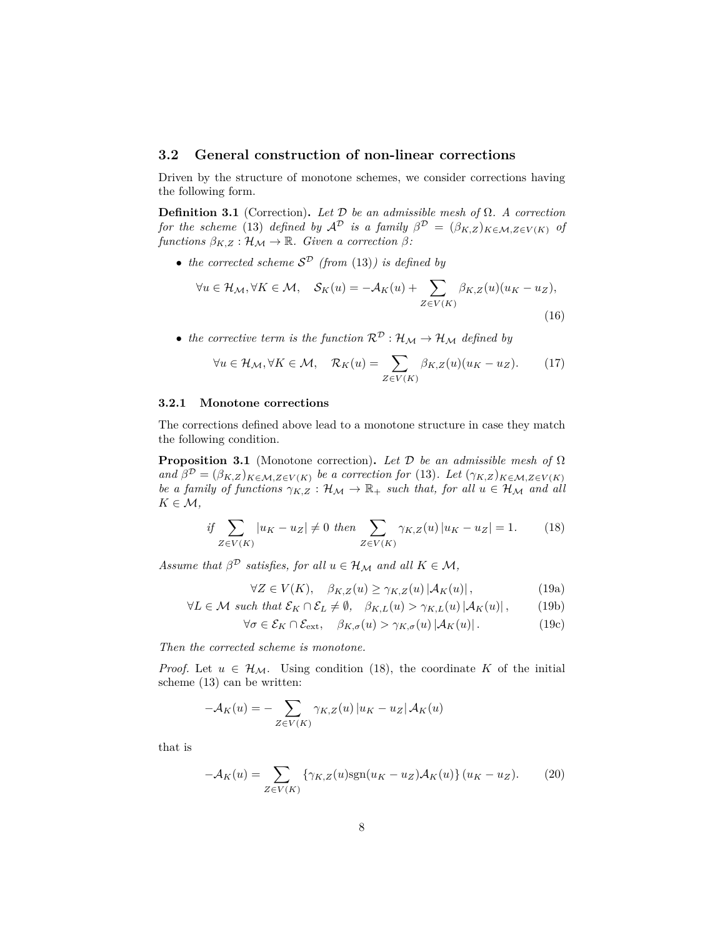#### **3.2 General construction of non-linear corrections**

Driven by the structure of monotone schemes, we consider corrections having the following form.

**Definition 3.1** (Correction). Let  $\mathcal{D}$  be an admissible mesh of  $\Omega$ . A correction *for the scheme* (13) *defined by*  $\mathcal{A}^{\mathcal{D}}$  *is a family*  $\beta^{\mathcal{D}} = (\beta_{K,Z})_{K \in \mathcal{M}, Z \in V(K)}$  *of*  $functions \ \beta_{K,Z} : \mathcal{H}_{\mathcal{M}} \to \mathbb{R}$ *. Given a correction*  $\beta$ *:* 

• *the corrected scheme* S <sup>D</sup> *(from* (13)*) is defined by*

$$
\forall u \in \mathcal{H}_{\mathcal{M}}, \forall K \in \mathcal{M}, \quad \mathcal{S}_{K}(u) = -\mathcal{A}_{K}(u) + \sum_{Z \in V(K)} \beta_{K,Z}(u)(u_{K} - u_{Z}),
$$
\n(16)

• the corrective term is the function  $\mathcal{R}^{\mathcal{D}}: \mathcal{H}_{\mathcal{M}} \to \mathcal{H}_{\mathcal{M}}$  defined by

$$
\forall u \in \mathcal{H}_{\mathcal{M}}, \forall K \in \mathcal{M}, \quad \mathcal{R}_{K}(u) = \sum_{Z \in V(K)} \beta_{K,Z}(u)(u_K - u_Z). \tag{17}
$$

#### **3.2.1 Monotone corrections**

The corrections defined above lead to a monotone structure in case they match the following condition.

**Proposition 3.1** (Monotone correction)**.** *Let* D *be an admissible mesh of* Ω *and*  $\beta^{\mathcal{D}} = (\beta_{K,Z})_{K \in \mathcal{M}, Z \in V(K)}$  *be a correction for* (13)*. Let*  $(\gamma_{K,Z})_{K \in \mathcal{M}, Z \in V(K)}$ *be a family of functions*  $\gamma_{K,Z}: \mathcal{H}_M \to \mathbb{R}_+$  *such that, for all*  $u \in \mathcal{H}_M$  *and all*  $K \in \mathcal{M}$ ,

if 
$$
\sum_{Z \in V(K)} |u_K - u_Z| \neq 0
$$
 then  $\sum_{Z \in V(K)} \gamma_{K,Z}(u) |u_K - u_Z| = 1.$  (18)

*Assume that*  $\beta^{\mathcal{D}}$  *satisfies, for all*  $u \in \mathcal{H}_{\mathcal{M}}$  *and all*  $K \in \mathcal{M}$ *,* 

$$
\forall Z \in V(K), \quad \beta_{K,Z}(u) \ge \gamma_{K,Z}(u) \left| \mathcal{A}_K(u) \right|, \tag{19a}
$$

$$
\forall L \in \mathcal{M} \text{ such that } \mathcal{E}_K \cap \mathcal{E}_L \neq \emptyset, \quad \beta_{K,L}(u) > \gamma_{K,L}(u) |\mathcal{A}_K(u)|, \qquad (19b)
$$

$$
\forall \sigma \in \mathcal{E}_K \cap \mathcal{E}_{\text{ext}}, \quad \beta_{K,\sigma}(u) > \gamma_{K,\sigma}(u) |\mathcal{A}_K(u)|. \tag{19c}
$$

*Then the corrected scheme is monotone.*

*Proof.* Let  $u \in \mathcal{H}_{\mathcal{M}}$ . Using condition (18), the coordinate K of the initial scheme (13) can be written:

$$
-\mathcal{A}_K(u) = -\sum_{Z \in V(K)} \gamma_{K,Z}(u) |u_K - u_Z| \mathcal{A}_K(u)
$$

that is

$$
-\mathcal{A}_K(u) = \sum_{Z \in V(K)} \{ \gamma_{K,Z}(u) \text{sgn}(u_K - u_Z) \mathcal{A}_K(u) \} (u_K - u_Z). \tag{20}
$$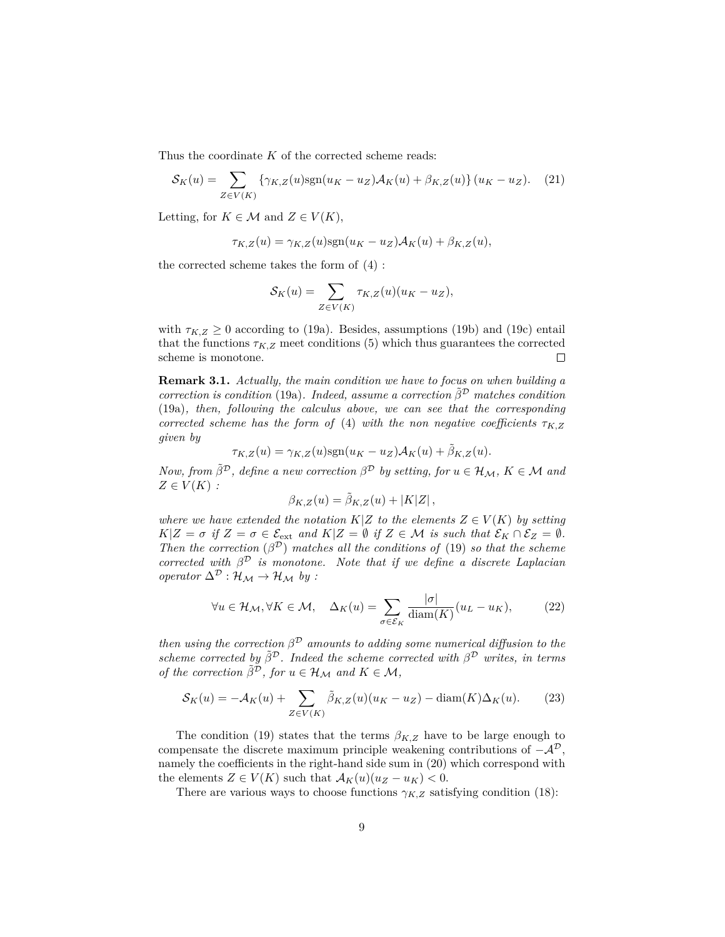Thus the coordinate *K* of the corrected scheme reads:

$$
\mathcal{S}_K(u) = \sum_{Z \in V(K)} \left\{ \gamma_{K,Z}(u) \text{sgn}(u_K - u_Z) \mathcal{A}_K(u) + \beta_{K,Z}(u) \right\} (u_K - u_Z). \tag{21}
$$

Letting, for  $K \in \mathcal{M}$  and  $Z \in V(K)$ ,

$$
\tau_{K,Z}(u) = \gamma_{K,Z}(u) \text{sgn}(u_K - u_Z) \mathcal{A}_K(u) + \beta_{K,Z}(u),
$$

the corrected scheme takes the form of (4) :

$$
\mathcal{S}_K(u) = \sum_{Z \in V(K)} \tau_{K,Z}(u)(u_K - u_Z),
$$

with  $\tau_{K,Z} \geq 0$  according to (19a). Besides, assumptions (19b) and (19c) entail that the functions  $\tau_{K,Z}$  meet conditions (5) which thus guarantees the corrected scheme is monotone.  $\Box$ 

**Remark 3.1.** *Actually, the main condition we have to focus on when building a correction is condition* (19a). *Indeed, assume a correction*  $\tilde{\beta}^D$  *matches condition* (19a)*, then, following the calculus above, we can see that the corresponding corrected scheme has the form of* (4) *with the non negative coefficients*  $\tau_{K,Z}$ *given by*

$$
\tau_{K,Z}(u) = \gamma_{K,Z}(u) \text{sgn}(u_K - u_Z) \mathcal{A}_K(u) + \tilde{\beta}_{K,Z}(u).
$$

*Now, from*  $\tilde{\beta}^{\mathcal{D}}$ *, define a new correction*  $\beta^{\mathcal{D}}$  *by setting, for*  $u \in \mathcal{H}_M$ *,*  $K \in \mathcal{M}$  and  $Z \in V(K)$ :

$$
\beta_{K,Z}(u) = \tilde{\beta}_{K,Z}(u) + |K|Z|,
$$

*where we have extended the notation*  $K|Z$  *to the elements*  $Z \in V(K)$  *by setting*  $K|Z = \sigma$  *if*  $Z = \sigma \in \mathcal{E}_{ext}$  *and*  $K|Z = \emptyset$  *if*  $Z \in \mathcal{M}$  *is such that*  $\mathcal{E}_K \cap \mathcal{E}_Z = \emptyset$ *. Then the correction*  $(\beta^D)$  *matches all the conditions of* (19) *so that the scheme corrected with*  $\beta^{\mathcal{D}}$  *is monotone. Note that if we define a discrete Laplacian operator*  $\Delta^{\mathcal{D}} : \mathcal{H}_{\mathcal{M}} \to \mathcal{H}_{\mathcal{M}}$  *by :* 

$$
\forall u \in \mathcal{H}_{\mathcal{M}}, \forall K \in \mathcal{M}, \quad \Delta_K(u) = \sum_{\sigma \in \mathcal{E}_K} \frac{|\sigma|}{\text{diam}(K)} (u_L - u_K), \tag{22}
$$

*then using the correction*  $\beta^D$  *amounts to adding some numerical diffusion to the scheme corrected by*  $\tilde{\beta}^D$ . Indeed the scheme corrected with  $\beta^D$  writes, in terms *of the correction*  $\tilde{\beta}^{\mathcal{D}}$ *, for*  $u \in \mathcal{H}_{\mathcal{M}}$  and  $K \in \mathcal{M}$ ,

$$
\mathcal{S}_K(u) = -\mathcal{A}_K(u) + \sum_{Z \in V(K)} \tilde{\beta}_{K,Z}(u)(u_K - u_Z) - \text{diam}(K)\Delta_K(u). \tag{23}
$$

The condition (19) states that the terms  $\beta_{K,Z}$  have to be large enough to compensate the discrete maximum principle weakening contributions of  $-\mathcal{A}^{\mathcal{D}}$ , namely the coefficients in the right-hand side sum in (20) which correspond with the elements  $Z \in V(K)$  such that  $\mathcal{A}_K(u)(u_Z - u_K) < 0$ .

There are various ways to choose functions  $\gamma_{K,Z}$  satisfying condition (18):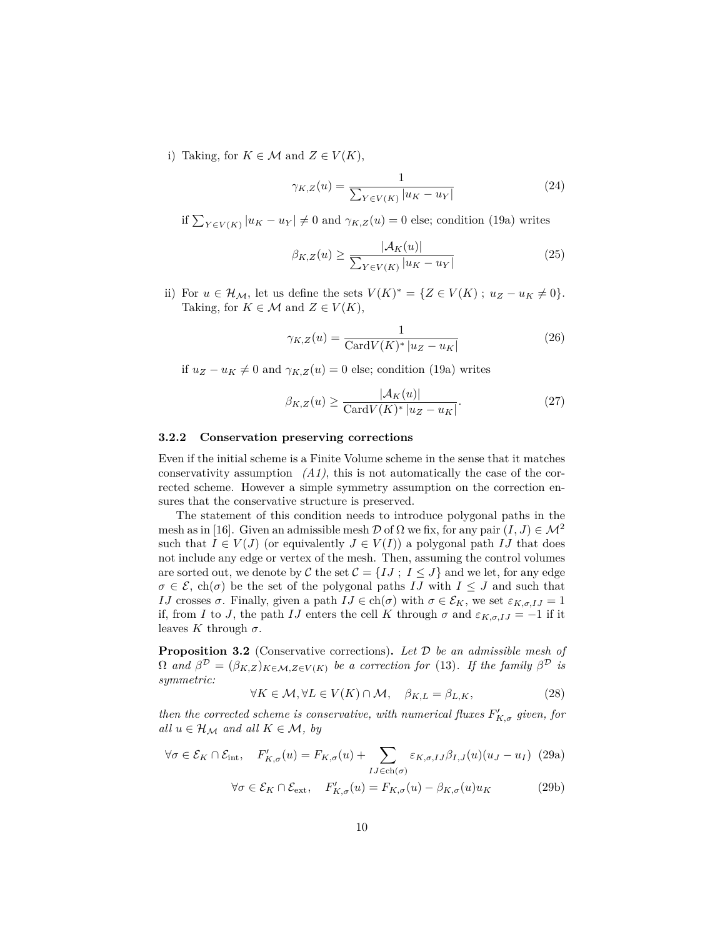i) Taking, for  $K \in \mathcal{M}$  and  $Z \in V(K)$ ,

$$
\gamma_{K,Z}(u) = \frac{1}{\sum_{Y \in V(K)} |u_K - u_Y|}
$$
(24)

if  $\sum_{Y \in V(K)} |u_K - u_Y| \neq 0$  and  $\gamma_{K,Z}(u) = 0$  else; condition (19a) writes

$$
\beta_{K,Z}(u) \ge \frac{|\mathcal{A}_K(u)|}{\sum_{Y \in V(K)} |u_K - u_Y|} \tag{25}
$$

ii) For  $u \in \mathcal{H}_{\mathcal{M}}$ , let us define the sets  $V(K)^* = \{Z \in V(K) \; ; \; u_Z - u_K \neq 0\}.$ Taking, for  $K \in \mathcal{M}$  and  $Z \in V(K)$ ,

$$
\gamma_{K,Z}(u) = \frac{1}{\text{Card}V(K)^* \left|u_Z - u_K\right|} \tag{26}
$$

if  $u_Z - u_K \neq 0$  and  $\gamma_{K,Z}(u) = 0$  else; condition (19a) writes

$$
\beta_{K,Z}(u) \ge \frac{|\mathcal{A}_K(u)|}{\text{Card}V(K)^* |u_Z - u_K|}.\tag{27}
$$

#### **3.2.2 Conservation preserving corrections**

Even if the initial scheme is a Finite Volume scheme in the sense that it matches conservativity assumption *(A1)*, this is not automatically the case of the corrected scheme. However a simple symmetry assumption on the correction ensures that the conservative structure is preserved.

The statement of this condition needs to introduce polygonal paths in the mesh as in [16]. Given an admissible mesh  $\mathcal D$  of  $\Omega$  we fix, for any pair  $(I, J) \in \mathcal M^2$ such that  $I \in V(J)$  (or equivalently  $J \in V(I)$ ) a polygonal path  $IJ$  that does not include any edge or vertex of the mesh. Then, assuming the control volumes are sorted out, we denote by C the set  $C = \{IJ ; I \leq J\}$  and we let, for any edge  $\sigma \in \mathcal{E}$ , ch( $\sigma$ ) be the set of the polygonal paths *IJ* with  $I \leq J$  and such that *IJ* crosses  $\sigma$ . Finally, given a path  $IJ \in ch(\sigma)$  with  $\sigma \in \mathcal{E}_K$ , we set  $\varepsilon_{K,\sigma,IJ} = 1$ if, from *I* to *J*, the path *IJ* enters the cell *K* through  $\sigma$  and  $\varepsilon_{K,\sigma,IJ} = -1$  if it leaves  $K$  through  $\sigma$ .

**Proposition 3.2** (Conservative corrections)**.** *Let* D *be an admissible mesh of*  $\Omega$  and  $\beta^D = (\beta_{K,Z})_{K \in \mathcal{M}, Z \in V(K)}$  be a correction for (13). If the family  $\beta^D$  is *symmetric:*

$$
\forall K \in \mathcal{M}, \forall L \in V(K) \cap \mathcal{M}, \quad \beta_{K,L} = \beta_{L,K}, \tag{28}
$$

*then the corrected scheme is conservative, with numerical fluxes*  $F'_{K,\sigma}$  *given, for all*  $u \in \mathcal{H}_{\mathcal{M}}$  *and all*  $K \in \mathcal{M}$ *, by* 

$$
\forall \sigma \in \mathcal{E}_K \cap \mathcal{E}_{\text{int}}, \quad F'_{K,\sigma}(u) = F_{K,\sigma}(u) + \sum_{IJ \in \text{ch}(\sigma)} \varepsilon_{K,\sigma,IJ} \beta_{I,J}(u) (u_J - u_I) \tag{29a}
$$

$$
\forall \sigma \in \mathcal{E}_K \cap \mathcal{E}_{\text{ext}}, \quad F'_{K,\sigma}(u) = F_{K,\sigma}(u) - \beta_{K,\sigma}(u) u_K \tag{29b}
$$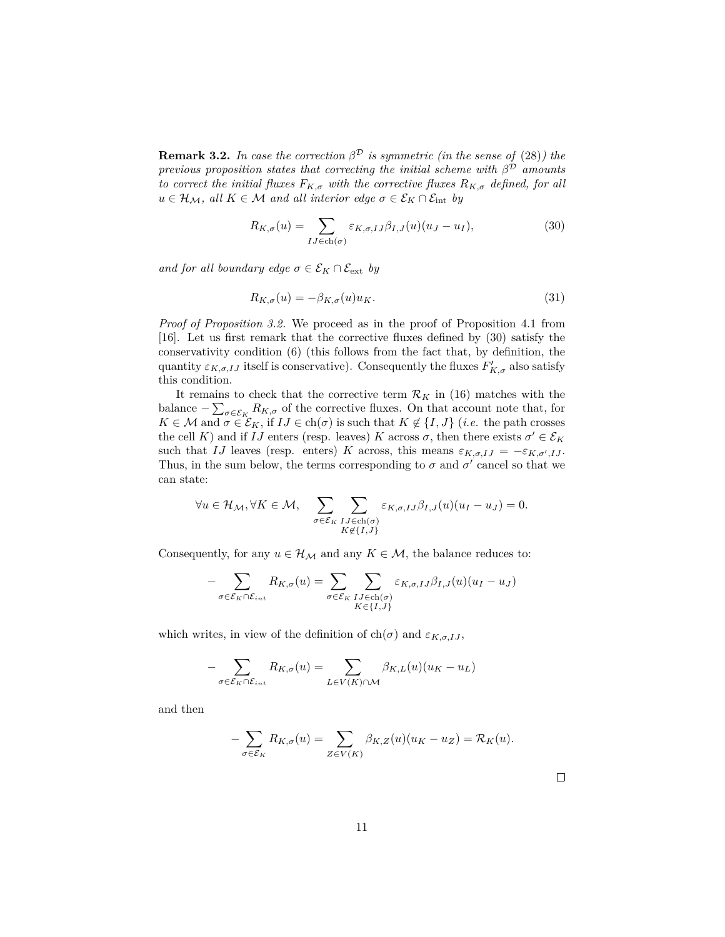**Remark 3.2.** *In case the correction*  $\beta^{\mathcal{D}}$  *is symmetric (in the sense of (28)) the previous proposition states that correcting the initial scheme with β* <sup>D</sup> *amounts to correct the initial fluxes*  $F_{K,\sigma}$  *with the corrective fluxes*  $R_{K,\sigma}$  *defined, for all*  $u \in \mathcal{H}_{\mathcal{M}}$ *, all*  $K \in \mathcal{M}$  *and all interior edge*  $\sigma \in \mathcal{E}_K \cap \mathcal{E}_{\text{int}}$  *by* 

$$
R_{K,\sigma}(u) = \sum_{IJ \in \text{ch}(\sigma)} \varepsilon_{K,\sigma,IJ} \beta_{I,J}(u) (u_J - u_I), \tag{30}
$$

*and for all boundary edge*  $\sigma \in \mathcal{E}_K \cap \mathcal{E}_{ext}$  *by* 

$$
R_{K,\sigma}(u) = -\beta_{K,\sigma}(u)u_K. \tag{31}
$$

*Proof of Proposition 3.2.* We proceed as in the proof of Proposition 4.1 from [16]. Let us first remark that the corrective fluxes defined by (30) satisfy the conservativity condition (6) (this follows from the fact that, by definition, the quantity  $\varepsilon_{K,\sigma,IJ}$  itself is conservative). Consequently the fluxes  $F'_{K,\sigma}$  also satisfy this condition.

It remains to check that the corrective term  $\mathcal{R}_K$  in (16) matches with the balance  $-\sum_{\sigma\in\mathcal{E}_K}R_{K,\sigma}$  of the corrective fluxes. On that account note that, for  $K \in \mathcal{M}$  and  $\sigma \in \mathcal{E}_K$ , if  $IJ \in \text{ch}(\sigma)$  is such that  $K \notin \{I, J\}$  (*i.e.* the path crosses the cell *K*) and if *IJ* enters (resp. leaves) *K* across  $\sigma$ , then there exists  $\sigma' \in \mathcal{E}_K$ such that *IJ* leaves (resp. enters) *K* across, this means  $\varepsilon_{K,\sigma,IJ} = -\varepsilon_{K,\sigma',IJ}$ . Thus, in the sum below, the terms corresponding to  $\sigma$  and  $\sigma'$  cancel so that we can state:

$$
\forall u \in \mathcal{H}_{\mathcal{M}}, \forall K \in \mathcal{M}, \quad \sum_{\sigma \in \mathcal{E}_K} \sum_{\substack{IJ \in ch(\sigma) \\ K \notin \{I, J\}}} \varepsilon_{K, \sigma, IJ} \beta_{I, J}(u) (u_I - u_J) = 0.
$$

Consequently, for any  $u \in \mathcal{H}_{\mathcal{M}}$  and any  $K \in \mathcal{M}$ , the balance reduces to:

$$
-\sum_{\sigma \in \mathcal{E}_K \cap \mathcal{E}_{int}} R_{K,\sigma}(u) = \sum_{\sigma \in \mathcal{E}_K} \sum_{\substack{IJ \in ch(\sigma) \\ K \in \{I,J\}}} \varepsilon_{K,\sigma,IJ} \beta_{I,J}(u) (u_I - u_J)
$$

which writes, in view of the definition of  $ch(\sigma)$  and  $\varepsilon_{K,\sigma,I,J}$ ,

$$
-\sum_{\sigma \in \mathcal{E}_K \cap \mathcal{E}_{int}} R_{K,\sigma}(u) = \sum_{L \in V(K) \cap \mathcal{M}} \beta_{K,L}(u) (u_K - u_L)
$$

and then

$$
-\sum_{\sigma \in \mathcal{E}_K} R_{K,\sigma}(u) = \sum_{Z \in V(K)} \beta_{K,Z}(u)(u_K - u_Z) = \mathcal{R}_K(u).
$$

 $\Box$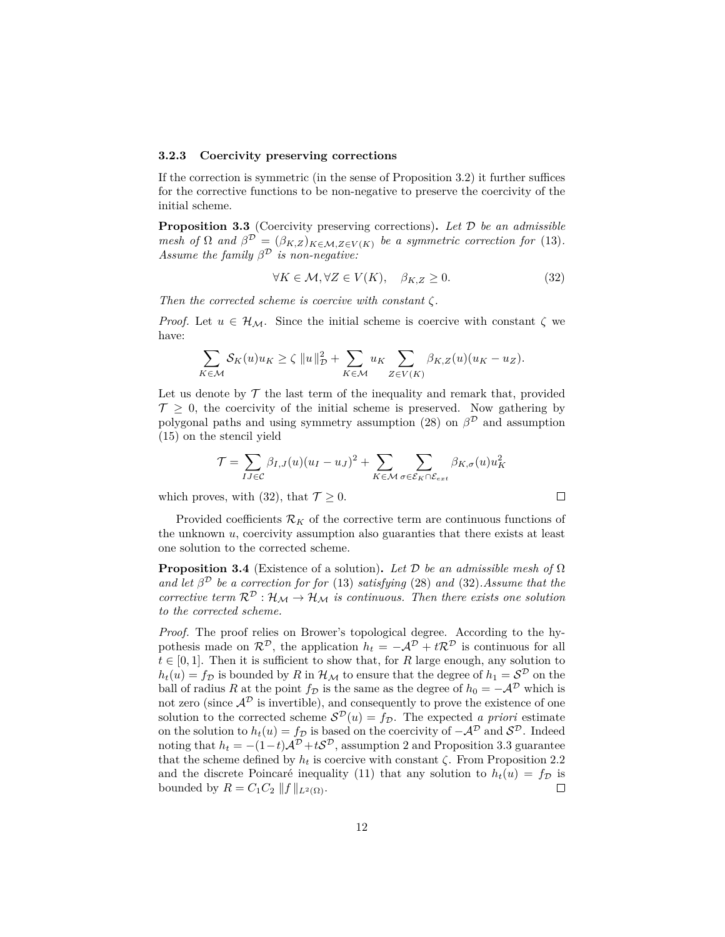#### **3.2.3 Coercivity preserving corrections**

If the correction is symmetric (in the sense of Proposition 3.2) it further suffices for the corrective functions to be non-negative to preserve the coercivity of the initial scheme.

**Proposition 3.3** (Coercivity preserving corrections)**.** *Let* D *be an admissible mesh of*  $\Omega$  *and*  $\beta^D = (\beta_{K,Z})_{K \in \mathcal{M}, Z \in V(K)}$  *be a symmetric correction for* (13)*. Assume the family*  $\beta^{\mathcal{D}}$  *is non-negative:* 

$$
\forall K \in \mathcal{M}, \forall Z \in V(K), \quad \beta_{K,Z} \ge 0. \tag{32}
$$

 $\Box$ 

*Then the corrected scheme is coercive with constant ζ.*

*Proof.* Let  $u \in \mathcal{H}_{\mathcal{M}}$ . Since the initial scheme is coercive with constant  $\zeta$  we have:

$$
\sum_{K \in \mathcal{M}} \mathcal{S}_K(u) u_K \ge \zeta \|u\|_{\mathcal{D}}^2 + \sum_{K \in \mathcal{M}} u_K \sum_{Z \in V(K)} \beta_{K,Z}(u) (u_K - u_Z).
$$

Let us denote by  $\mathcal T$  the last term of the inequality and remark that, provided  $\mathcal{T} > 0$ , the coercivity of the initial scheme is preserved. Now gathering by polygonal paths and using symmetry assumption (28) on  $\beta^{\mathcal{D}}$  and assumption (15) on the stencil yield

$$
\mathcal{T} = \sum_{IJ \in \mathcal{C}} \beta_{I,J}(u)(u_I - u_J)^2 + \sum_{K \in \mathcal{M}} \sum_{\sigma \in \mathcal{E}_K \cap \mathcal{E}_{ext}} \beta_{K,\sigma}(u)u_K^2
$$

which proves, with (32), that  $\mathcal{T} \geq 0$ .

Provided coefficients  $\mathcal{R}_K$  of the corrective term are continuous functions of the unknown *u*, coercivity assumption also guaranties that there exists at least one solution to the corrected scheme.

**Proposition 3.4** (Existence of a solution). Let  $\mathcal D$  be an admissible mesh of  $\Omega$ *and let*  $\beta^{\mathcal{D}}$  *be a correction for for* (13) *satisfying* (28) *and* (32)*. Assume that the corrective term*  $\mathcal{R}^{\mathcal{D}}: \mathcal{H}_{\mathcal{M}} \to \mathcal{H}_{\mathcal{M}}$  *is continuous. Then there exists one solution to the corrected scheme.*

*Proof.* The proof relies on Brower's topological degree. According to the hypothesis made on  $\mathcal{R}^{\mathcal{D}}$ , the application  $h_t = -\mathcal{A}^{\mathcal{D}} + t\mathcal{R}^{\mathcal{D}}$  is continuous for all  $t \in [0, 1]$ . Then it is sufficient to show that, for *R* large enough, any solution to  $h_t(u) = f_D$  is bounded by *R* in  $\mathcal{H}_{\mathcal{M}}$  to ensure that the degree of  $h_1 = \mathcal{S}^D$  on the ball of radius *R* at the point  $f_{\mathcal{D}}$  is the same as the degree of  $h_0 = -\mathcal{A}^{\mathcal{D}}$  which is not zero (since  $\mathcal{A}^{\mathcal{D}}$  is invertible), and consequently to prove the existence of one solution to the corrected scheme  $S^{\mathcal{D}}(u) = f_{\mathcal{D}}$ . The expected *a priori* estimate on the solution to  $h_t(u) = f_D$  is based on the coercivity of  $-\mathcal{A}^{\mathcal{D}}$  and  $\mathcal{S}^{\mathcal{D}}$ . Indeed noting that  $h_t = -(1-t)A^{\mathcal{D}} + tS^{\mathcal{D}}$ , assumption 2 and Proposition 3.3 guarantee that the scheme defined by  $h_t$  is coercive with constant  $\zeta$ . From Proposition 2.2 and the discrete Poincaré inequality (11) that any solution to  $h_t(u) = f_D$  is bounded by  $R = C_1 C_2 ||f||_{L^2(\Omega)}$ .  $\Box$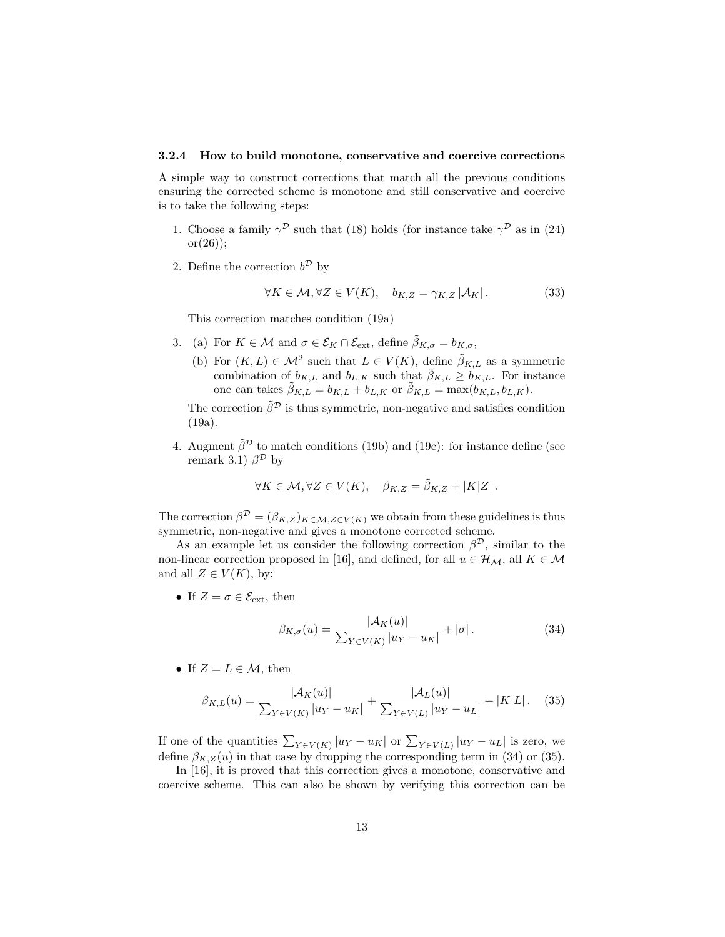#### **3.2.4 How to build monotone, conservative and coercive corrections**

A simple way to construct corrections that match all the previous conditions ensuring the corrected scheme is monotone and still conservative and coercive is to take the following steps:

- 1. Choose a family  $\gamma^{\mathcal{D}}$  such that (18) holds (for instance take  $\gamma^{\mathcal{D}}$  as in (24)  $or(26)$ :
- 2. Define the correction  $b^{\mathcal{D}}$  by

$$
\forall K \in \mathcal{M}, \forall Z \in V(K), \quad b_{K,Z} = \gamma_{K,Z} \left| \mathcal{A}_K \right|.
$$
 (33)

This correction matches condition (19a)

- 3. (a) For  $K \in \mathcal{M}$  and  $\sigma \in \mathcal{E}_K \cap \mathcal{E}_{ext}$ , define  $\tilde{\beta}_{K,\sigma} = b_{K,\sigma}$ ,
	- (b) For  $(K, L) \in \mathcal{M}^2$  such that  $L \in V(K)$ , define  $\tilde{\beta}_{K,L}$  as a symmetric combination of  $b_{K,L}$  and  $b_{L,K}$  such that  $\tilde{\beta}_{K,L} \geq b_{K,L}$ . For instance one can takes  $\tilde{\beta}_{K,L} = b_{K,L} + b_{L,K}$  or  $\tilde{\beta}_{K,L} = \max(b_{K,L}, b_{L,K}).$

The correction  $\tilde{\beta}^{\mathcal{D}}$  is thus symmetric, non-negative and satisfies condition (19a).

4. Augment  $\tilde{\beta}^{\mathcal{D}}$  to match conditions (19b) and (19c): for instance define (see remark 3.1)  $\beta^{\mathcal{D}}$  by

$$
\forall K \in \mathcal{M}, \forall Z \in V(K), \quad \beta_{K,Z} = \tilde{\beta}_{K,Z} + |K|Z|.
$$

The correction  $\beta^{\mathcal{D}} = (\beta_{K,Z})_{K \in \mathcal{M}, Z \in V(K)}$  we obtain from these guidelines is thus symmetric, non-negative and gives a monotone corrected scheme.

As an example let us consider the following correction  $\beta^{\mathcal{D}}$ , similar to the non-linear correction proposed in [16], and defined, for all  $u \in \mathcal{H}_\mathcal{M}$ , all  $K \in \mathcal{M}$ and all  $Z \in V(K)$ , by:

• If  $Z = \sigma \in \mathcal{E}_{ext}$ , then

$$
\beta_{K,\sigma}(u) = \frac{|\mathcal{A}_K(u)|}{\sum_{Y \in V(K)} |u_Y - u_K|} + |\sigma|.
$$
\n(34)

• If  $Z = L \in \mathcal{M}$ , then

$$
\beta_{K,L}(u) = \frac{|\mathcal{A}_K(u)|}{\sum_{Y \in V(K)} |u_Y - u_K|} + \frac{|\mathcal{A}_L(u)|}{\sum_{Y \in V(L)} |u_Y - u_L|} + |K|L|.
$$
 (35)

If one of the quantities  $\sum_{Y \in V(K)} |u_Y - u_K|$  or  $\sum_{Y \in V(L)} |u_Y - u_L|$  is zero, we define  $\beta_{K,Z}(u)$  in that case by dropping the corresponding term in (34) or (35).

In [16], it is proved that this correction gives a monotone, conservative and coercive scheme. This can also be shown by verifying this correction can be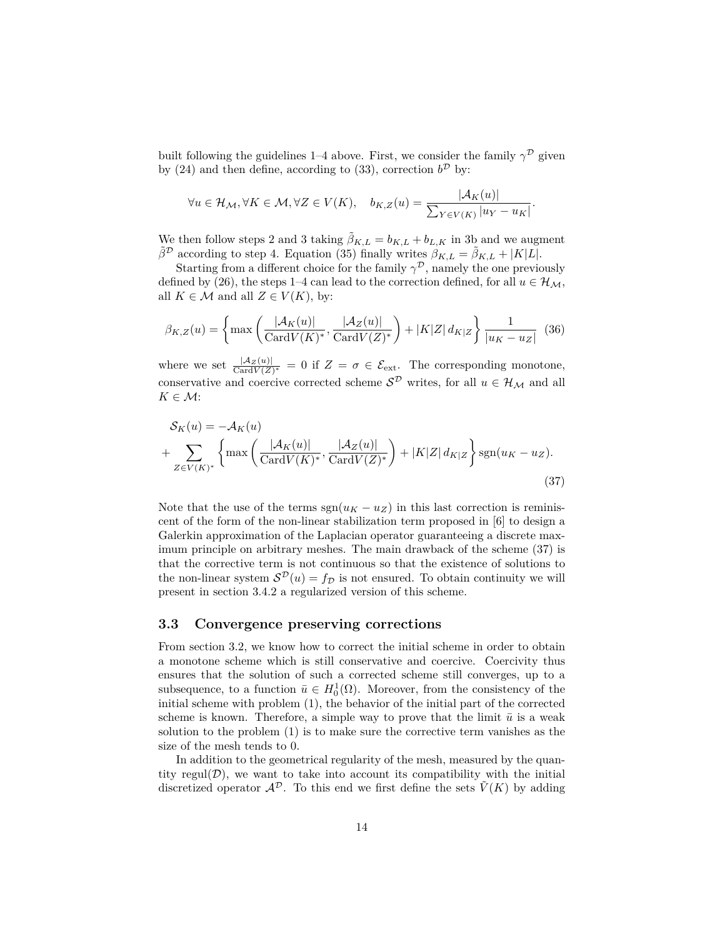built following the guidelines 1–4 above. First, we consider the family  $\gamma^{\mathcal{D}}$  given by (24) and then define, according to (33), correction  $b^{\mathcal{D}}$  by:

$$
\forall u \in \mathcal{H}_{\mathcal{M}}, \forall K \in \mathcal{M}, \forall Z \in V(K), \quad b_{K,Z}(u) = \frac{|\mathcal{A}_K(u)|}{\sum_{Y \in V(K)} |u_Y - u_K|}.
$$

We then follow steps 2 and 3 taking  $\tilde{\beta}_{K,L} = b_{K,L} + b_{L,K}$  in 3b and we augment  $\tilde{\beta}^{\mathcal{D}}$  according to step 4. Equation (35) finally writes  $\beta_{K,L} = \tilde{\beta}_{K,L} + |K|L|$ .

Starting from a different choice for the family  $\gamma^{\mathcal{D}}$ , namely the one previously defined by (26), the steps 1–4 can lead to the correction defined, for all  $u \in \mathcal{H}_{\mathcal{M}}$ , all  $K \in \mathcal{M}$  and all  $Z \in V(K)$ , by:

$$
\beta_{K,Z}(u) = \left\{ \max\left( \frac{|\mathcal{A}_K(u)|}{\text{Card}V(K)^*}, \frac{|\mathcal{A}_Z(u)|}{\text{Card}V(Z)^*} \right) + |K|Z| \, d_{K|Z} \right\} \frac{1}{|u_K - u_Z|} \tag{36}
$$

where we set  $\frac{|A_Z(u)|}{\text{Card }V(Z)^*} = 0$  if  $Z = \sigma \in \mathcal{E}_{ext}$ . The corresponding monotone, conservative and coercive corrected scheme  $\mathcal{S}^{\mathcal{D}}$  writes, for all  $u \in \mathcal{H}_{\mathcal{M}}$  and all  $K \in \mathcal{M}$ :

$$
\mathcal{S}_{K}(u) = -\mathcal{A}_{K}(u)
$$
  
+ 
$$
\sum_{Z \in V(K)^*} \left\{ \max \left( \frac{|\mathcal{A}_{K}(u)|}{\text{Card}V(K)^*}, \frac{|\mathcal{A}_{Z}(u)|}{\text{Card}V(Z)^*} \right) + |K|Z| d_{K|Z} \right\} \text{sgn}(u_K - u_Z).
$$
\n(37)

Note that the use of the terms  $sgn(u_K - u_Z)$  in this last correction is reminiscent of the form of the non-linear stabilization term proposed in [6] to design a Galerkin approximation of the Laplacian operator guaranteeing a discrete maximum principle on arbitrary meshes. The main drawback of the scheme (37) is that the corrective term is not continuous so that the existence of solutions to the non-linear system  $S^{\mathcal{D}}(u) = f_{\mathcal{D}}$  is not ensured. To obtain continuity we will present in section 3.4.2 a regularized version of this scheme.

#### **3.3 Convergence preserving corrections**

From section 3.2, we know how to correct the initial scheme in order to obtain a monotone scheme which is still conservative and coercive. Coercivity thus ensures that the solution of such a corrected scheme still converges, up to a subsequence, to a function  $\bar{u} \in H_0^1(\Omega)$ . Moreover, from the consistency of the initial scheme with problem (1), the behavior of the initial part of the corrected scheme is known. Therefore, a simple way to prove that the limit  $\bar{u}$  is a weak solution to the problem (1) is to make sure the corrective term vanishes as the size of the mesh tends to 0.

In addition to the geometrical regularity of the mesh, measured by the quantity regul $(\mathcal{D})$ , we want to take into account its compatibility with the initial discretized operator  $\mathcal{A}^{\mathcal{D}}$ . To this end we first define the sets  $\tilde{V}(K)$  by adding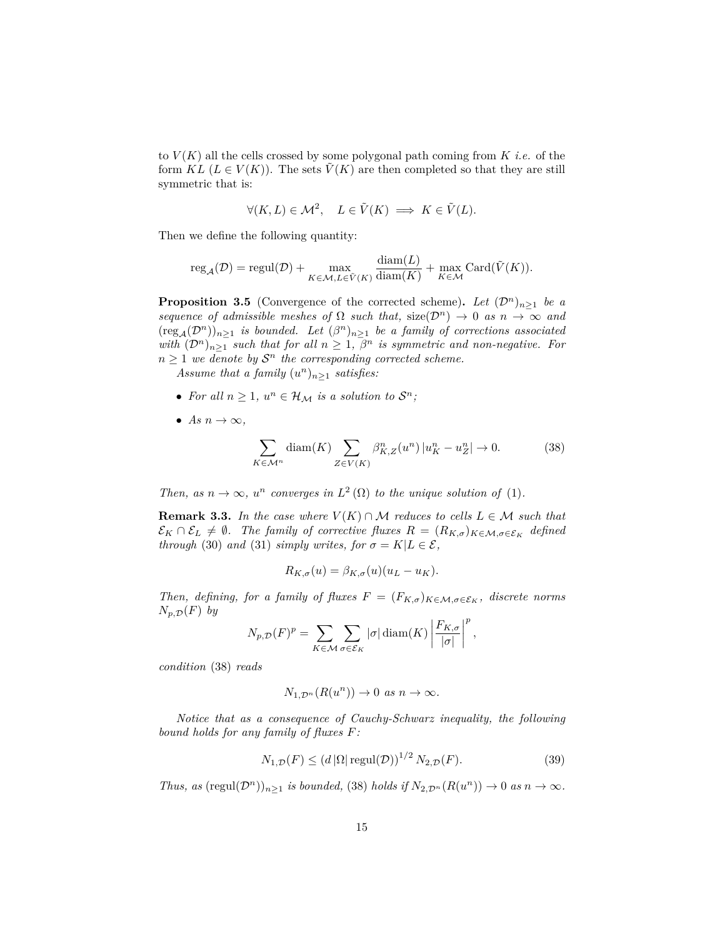to  $V(K)$  all the cells crossed by some polygonal path coming from  $K$  *i.e.* of the form  $KL(L \in V(K))$ . The sets  $\tilde{V}(K)$  are then completed so that they are still symmetric that is:

$$
\forall (K, L) \in \mathcal{M}^2, \quad L \in \tilde{V}(K) \implies K \in \tilde{V}(L).
$$

Then we define the following quantity:

$$
\mathrm{reg}_{\mathcal{A}}(\mathcal{D}) = \mathrm{regul}(\mathcal{D}) + \max_{K \in \mathcal{M}, L \in \tilde{V}(K)} \frac{\mathrm{diam}(L)}{\mathrm{diam}(K)} + \max_{K \in \mathcal{M}} \mathrm{Card}(\tilde{V}(K)).
$$

**Proposition 3.5** (Convergence of the corrected scheme). Let  $(\mathcal{D}^n)_{n>1}$  be a *sequence of admissible meshes of*  $\Omega$  *such that,* size( $\mathcal{D}^n$ )  $\to$  0 *as*  $n \to \infty$  *and*  $(\text{reg}_{\mathcal{A}}(\mathcal{D}^n))_{n\geq 1}$  *is bounded. Let*  $(\beta^n)_{n\geq 1}$  *be a family of corrections associated with*  $(D^n)_{n \geq 1}$  *such that for all*  $n \geq 1$ ,  $\beta^n$  *is symmetric and non-negative. For*  $n \geq 1$  *we denote by*  $S<sup>n</sup>$  *the corresponding corrected scheme.* 

*Assume that a family*  $(u^n)_{n\geq 1}$  *satisfies:* 

- For all  $n \geq 1$ ,  $u^n \in \mathcal{H}_\mathcal{M}$  is a solution to  $\mathcal{S}^n$ ;
- *As*  $n \to \infty$ ,

$$
\sum_{K \in \mathcal{M}^n} \text{diam}(K) \sum_{Z \in V(K)} \beta_{K,Z}^n(u^n) \left| u_K^n - u_Z^n \right| \to 0. \tag{38}
$$

*Then, as*  $n \to \infty$ ,  $u^n$  *converges in*  $L^2(\Omega)$  *to the unique solution of* (1)*.* 

**Remark 3.3.** *In the case where*  $V(K) \cap M$  *reduces to cells*  $L \in M$  *such that*  $\mathcal{E}_K \cap \mathcal{E}_L \neq \emptyset$ . The family of corrective fluxes  $R = (R_{K,\sigma})_{K \in \mathcal{M}, \sigma \in \mathcal{E}_K}$  defined *through* (30) *and* (31) *simply writes, for*  $\sigma = K | L \in \mathcal{E}$ ,

$$
R_{K,\sigma}(u) = \beta_{K,\sigma}(u)(u_L - u_K).
$$

*Then, defining, for a family of fluxes*  $F = (F_{K,\sigma})_{K \in \mathcal{M}, \sigma \in \mathcal{E}_K}$ *, discrete norms*  $N_{p,\mathcal{D}}(F)$  *by* 

$$
N_{p,\mathcal{D}}(F)^p = \sum_{K \in \mathcal{M}} \sum_{\sigma \in \mathcal{E}_K} |\sigma| \operatorname{diam}(K) \left| \frac{F_{K,\sigma}}{|\sigma|} \right|^p,
$$

*condition* (38) *reads*

$$
N_{1,\mathcal{D}^n}(R(u^n)) \to 0 \text{ as } n \to \infty.
$$

*Notice that as a consequence of Cauchy-Schwarz inequality, the following bound holds for any family of fluxes F:*

$$
N_{1,\mathcal{D}}(F) \le (d |\Omega| \operatorname{regul}(\mathcal{D}))^{1/2} N_{2,\mathcal{D}}(F). \tag{39}
$$

*Thus, as*  $(\text{regul}(\mathcal{D}^n))_{n\geq 1}$  *is bounded,* (38) *holds if*  $N_{2,\mathcal{D}^n}(R(u^n)) \to 0$  *as*  $n \to \infty$ *.*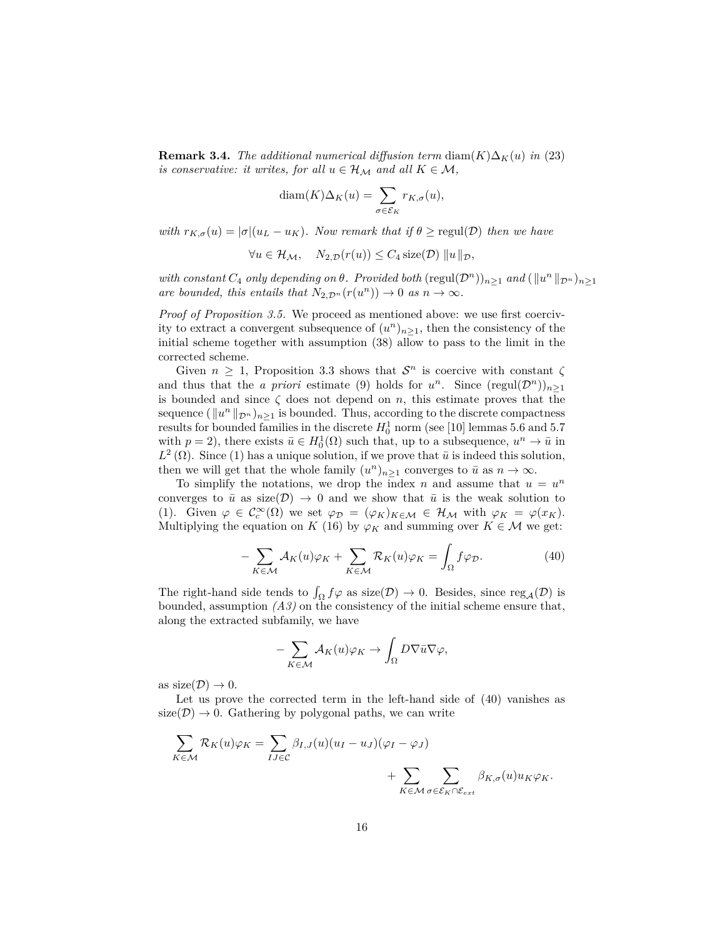**Remark 3.4.** *The additional numerical diffusion term* diam $(K)\Delta_K(u)$  *in* (23) *is conservative: it writes, for all*  $u \in \mathcal{H}_{\mathcal{M}}$  *and all*  $K \in \mathcal{M}$ *,* 

$$
\text{diam}(K)\Delta_K(u) = \sum_{\sigma \in \mathcal{E}_K} r_{K,\sigma}(u),
$$

*with*  $r_{K,\sigma}(u) = |\sigma|(u_L - u_K)$ . Now remark that if  $\theta \geq \text{regul}(\mathcal{D})$  then we have

$$
\forall u \in \mathcal{H}_{\mathcal{M}}, \quad N_{2,\mathcal{D}}(r(u)) \leq C_4 \operatorname{size}(\mathcal{D}) \, \|u\|_{\mathcal{D}},
$$

*with constant*  $C_4$  *only depending on*  $\theta$ *. Provided both* (regul $(\mathcal{D}^n)$ )<sub>*n*≥1</sub> *and* ( $||u^n||_{\mathcal{D}^n}$ )<sub>*n*≥1</sub> *are bounded, this entails that*  $N_{2,\mathcal{D}^n}(r(u^n)) \to 0$  *as*  $n \to \infty$ *.* 

*Proof of Proposition 3.5.* We proceed as mentioned above: we use first coercivity to extract a convergent subsequence of  $(u^n)_{n\geq 1}$ , then the consistency of the initial scheme together with assumption (38) allow to pass to the limit in the corrected scheme.

Given  $n \geq 1$ , Proposition 3.3 shows that  $S<sup>n</sup>$  is coercive with constant  $\zeta$ and thus that the *a priori* estimate (9) holds for  $u^n$ . Since  $(\text{regul}(\mathcal{D}^n))_{n\geq 1}$ is bounded and since  $\zeta$  does not depend on *n*, this estimate proves that the sequence  $(\Vert u^n \Vert_{\mathcal{D}^n})_{n \geq 1}$  is bounded. Thus, according to the discrete compactness results for bounded families in the discrete  $H_0^1$  norm (see [10] lemmas 5.6 and 5.7 with  $p = 2$ ), there exists  $\bar{u} \in H_0^1(\Omega)$  such that, up to a subsequence,  $u^n \to \bar{u}$  in  $L^2(\Omega)$ . Since (1) has a unique solution, if we prove that  $\bar{u}$  is indeed this solution, then we will get that the whole family  $(u^n)_{n\geq 1}$  converges to  $\bar{u}$  as  $n \to \infty$ .

To simplify the notations, we drop the index *n* and assume that  $u = u^n$ converges to  $\bar{u}$  as size(D)  $\rightarrow$  0 and we show that  $\bar{u}$  is the weak solution to (1). Given  $\varphi \in C_c^{\infty}(\Omega)$  we set  $\varphi_{\mathcal{D}} = (\varphi_K)_{K \in \mathcal{M}} \in \mathcal{H}_{\mathcal{M}}$  with  $\varphi_K = \varphi(x_K)$ . Multiplying the equation on *K* (16) by  $\varphi_K$  and summing over *K*  $\in \mathcal{M}$  we get:

$$
-\sum_{K\in\mathcal{M}}\mathcal{A}_K(u)\varphi_K+\sum_{K\in\mathcal{M}}\mathcal{R}_K(u)\varphi_K=\int_{\Omega}f\varphi_{\mathcal{D}}.
$$
 (40)

The right-hand side tends to  $\int_{\Omega} f \varphi$  as size(D)  $\to 0$ . Besides, since reg<sub>A</sub>(D) is bounded, assumption *(A3)* on the consistency of the initial scheme ensure that, along the extracted subfamily, we have

$$
-\sum_{K\in\mathcal{M}}\mathcal{A}_K(u)\varphi_K\to\int_{\Omega}D\nabla\bar{u}\nabla\varphi,
$$

as  $size(\mathcal{D}) \rightarrow 0$ .

Let us prove the corrected term in the left-hand side of (40) vanishes as  $size(\mathcal{D}) \rightarrow 0$ . Gathering by polygonal paths, we can write

$$
\sum_{K \in \mathcal{M}} \mathcal{R}_K(u) \varphi_K = \sum_{IJ \in \mathcal{C}} \beta_{I,J}(u) (u_I - u_J) (\varphi_I - \varphi_J) + \sum_{K \in \mathcal{M}} \sum_{\sigma \in \mathcal{E}_K \cap \mathcal{E}_{ext}} \beta_{K,\sigma}(u) u_K \varphi_K.
$$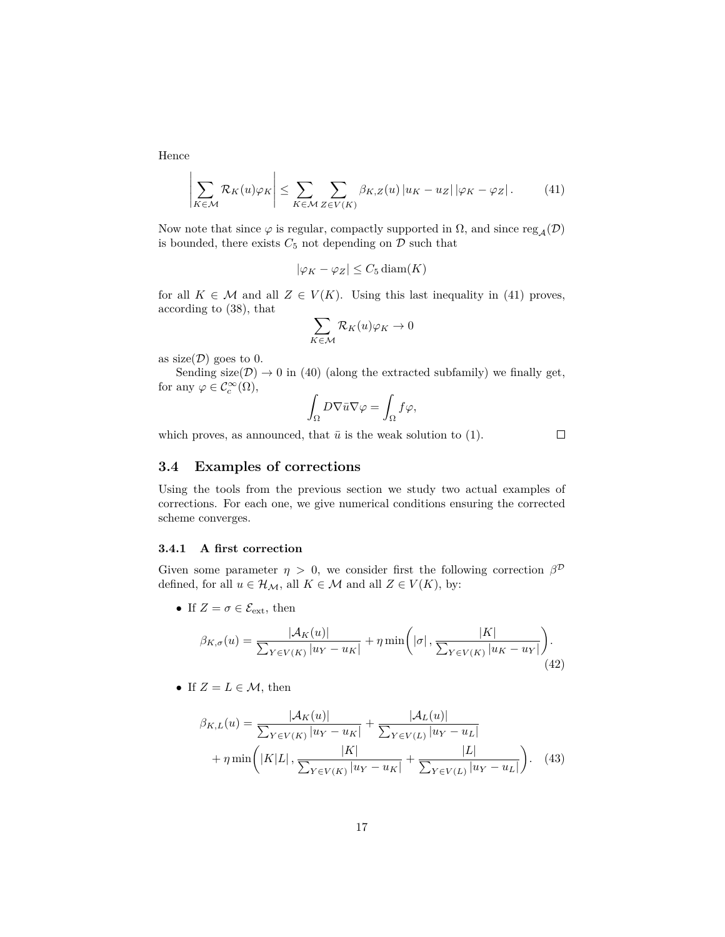Hence

$$
\left| \sum_{K \in \mathcal{M}} \mathcal{R}_K(u) \varphi_K \right| \leq \sum_{K \in \mathcal{M}} \sum_{Z \in V(K)} \beta_{K,Z}(u) \left| u_K - u_Z \right| \left| \varphi_K - \varphi_Z \right|.
$$
 (41)

Now note that since  $\varphi$  is regular, compactly supported in  $\Omega$ , and since  $\mathrm{reg}_{\mathcal{A}}(\mathcal{D})$ is bounded, there exists  $C_5$  not depending on  $\overline{D}$  such that

$$
|\varphi_K - \varphi_Z| \le C_5 \operatorname{diam}(K)
$$

for all  $K \in \mathcal{M}$  and all  $Z \in V(K)$ . Using this last inequality in (41) proves, according to (38), that

$$
\sum_{K\in\mathcal{M}}\mathcal{R}_K(u)\varphi_K\to 0
$$

as  $size(\mathcal{D})$  goes to 0.

Sending size( $\mathcal{D}$ )  $\rightarrow$  0 in (40) (along the extracted subfamily) we finally get, for any  $\varphi \in \mathcal{C}_c^{\infty}(\Omega)$ ,

$$
\int_{\Omega} D \nabla \bar{u} \nabla \varphi = \int_{\Omega} f \varphi,
$$

which proves, as announced, that  $\bar{u}$  is the weak solution to (1).

 $\Box$ 

### **3.4 Examples of corrections**

Using the tools from the previous section we study two actual examples of corrections. For each one, we give numerical conditions ensuring the corrected scheme converges.

#### **3.4.1 A first correction**

Given some parameter  $\eta > 0$ , we consider first the following correction  $\beta^{\mathcal{D}}$ defined, for all  $u \in \mathcal{H}_{\mathcal{M}}$ , all  $K \in \mathcal{M}$  and all  $Z \in V(K)$ , by:

• If  $Z = \sigma \in \mathcal{E}_{ext}$ , then

$$
\beta_{K,\sigma}(u) = \frac{|\mathcal{A}_K(u)|}{\sum_{Y \in V(K)} |u_Y - u_K|} + \eta \min\left(|\sigma|, \frac{|K|}{\sum_{Y \in V(K)} |u_K - u_Y|}\right). \tag{42}
$$

• If  $Z = L \in \mathcal{M}$ , then

$$
\beta_{K,L}(u) = \frac{|\mathcal{A}_K(u)|}{\sum_{Y \in V(K)} |u_Y - u_K|} + \frac{|\mathcal{A}_L(u)|}{\sum_{Y \in V(L)} |u_Y - u_L|} + \eta \min\left(|K|L|, \frac{|K|}{\sum_{Y \in V(K)} |u_Y - u_K|} + \frac{|L|}{\sum_{Y \in V(L)} |u_Y - u_L|}\right). \tag{43}
$$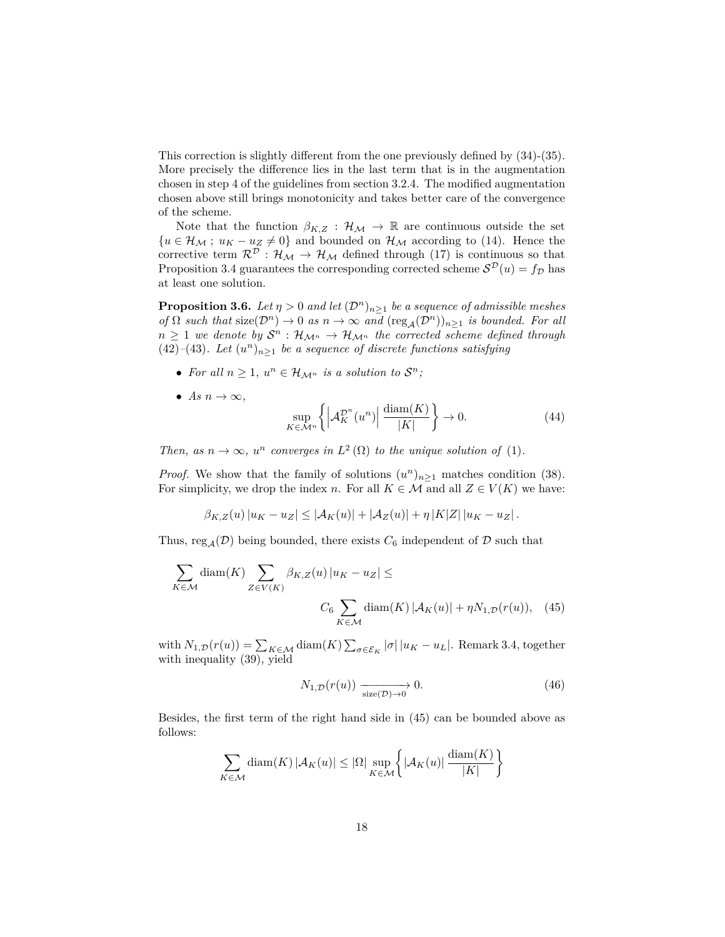This correction is slightly different from the one previously defined by (34)-(35). More precisely the difference lies in the last term that is in the augmentation chosen in step 4 of the guidelines from section 3.2.4. The modified augmentation chosen above still brings monotonicity and takes better care of the convergence of the scheme.

Note that the function  $\beta_{K,Z} : \mathcal{H}_{\mathcal{M}} \to \mathbb{R}$  are continuous outside the set  ${u \in \mathcal{H}_{\mathcal{M}}$ ;  $u_K - u_Z \neq 0}$  and bounded on  $\mathcal{H}_{\mathcal{M}}$  according to (14). Hence the corrective term  $\mathcal{R}^{\overline{\mathcal{D}}}$ :  $\mathcal{H}_{\mathcal{M}} \to \mathcal{H}_{\mathcal{M}}$  defined through (17) is continuous so that Proposition 3.4 guarantees the corresponding corrected scheme  $\mathcal{S}^{\mathcal{D}}(u) = f_{\mathcal{D}}$  has at least one solution.

**Proposition 3.6.** *Let*  $\eta > 0$  *and let*  $(\mathcal{D}^n)_{n \geq 1}$  *be a sequence of admissible meshes of*  $\Omega$  *such that*  $size(\mathcal{D}^n) \to 0$  *as*  $n \to \infty$  *and*  $(res_{\mathcal{A}}(\mathcal{D}^n))_{n \geq 1}$  *is bounded. For all*  $n \geq 1$  *we denote by*  $S^n$  :  $\mathcal{H}_{\mathcal{M}^n} \to \mathcal{H}_{\mathcal{M}^n}$  *the corrected scheme defined through* (42)<sup>*–*</sup>(43)*. Let*  $(u^n)_{n\geq 1}$  *be a sequence of discrete functions satisfying* 

- For all  $n \geq 1$ ,  $u^n \in \mathcal{H}_{\mathcal{M}^n}$  is a solution to  $\mathcal{S}^n$ ;
- *As*  $n \to \infty$ ,

$$
\sup_{K \in \mathcal{M}^n} \left\{ \left| \mathcal{A}_K^{\mathcal{D}^n}(u^n) \right| \frac{\text{diam}(K)}{|K|} \right\} \to 0. \tag{44}
$$

*Then, as*  $n \to \infty$ ,  $u^n$  *converges in*  $L^2(\Omega)$  *to the unique solution of* (1)*.* 

*Proof.* We show that the family of solutions  $(u^n)_{n\geq 1}$  matches condition (38). For simplicity, we drop the index *n*. For all  $K \in \mathcal{M}$  and all  $Z \in V(K)$  we have:

$$
\beta_{K,Z}(u) |u_K - u_Z| \leq |\mathcal{A}_K(u)| + |\mathcal{A}_Z(u)| + \eta |K|Z| |u_K - u_Z|.
$$

Thus, reg<sub>A</sub>( $\mathcal{D}$ ) being bounded, there exists  $C_6$  independent of  $\mathcal D$  such that

$$
\sum_{K \in \mathcal{M}} \text{diam}(K) \sum_{Z \in V(K)} \beta_{K,Z}(u) |u_K - u_Z| \le
$$
  

$$
C_6 \sum_{K \in \mathcal{M}} \text{diam}(K) |\mathcal{A}_K(u)| + \eta N_{1,\mathcal{D}}(r(u)), \quad (45)
$$

with  $N_{1,\mathcal{D}}(r(u)) = \sum_{K \in \mathcal{M}} \text{diam}(K) \sum_{\sigma \in \mathcal{E}_K} |\sigma| |u_K - u_L|$ . Remark 3.4, together with inequality (39), yield

$$
N_{1,\mathcal{D}}(r(u)) \xrightarrow[\text{size}(\mathcal{D}) \to 0]{} 0. \tag{46}
$$

Besides, the first term of the right hand side in (45) can be bounded above as follows:

$$
\sum_{K \in \mathcal{M}} \text{diam}(K) \left| \mathcal{A}_K(u) \right| \leq |\Omega| \sup_{K \in \mathcal{M}} \left\{ |\mathcal{A}_K(u)| \frac{\text{diam}(K)}{|K|} \right\}
$$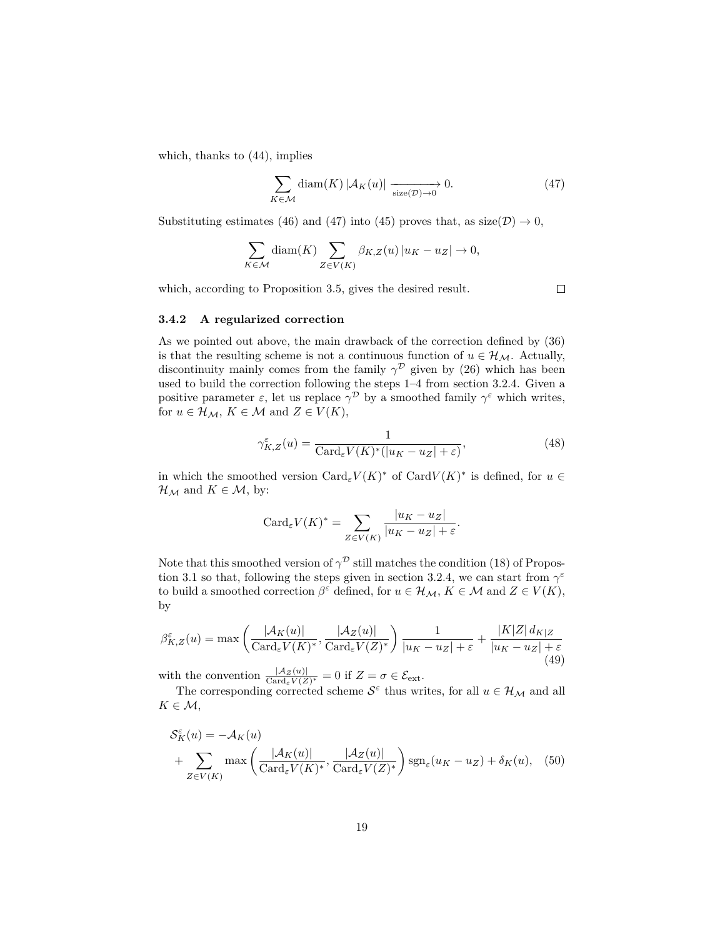which, thanks to (44), implies

$$
\sum_{K \in \mathcal{M}} \text{diam}(K) \left| \mathcal{A}_K(u) \right| \xrightarrow{\text{size}(\mathcal{D}) \to 0} 0. \tag{47}
$$

Substituting estimates (46) and (47) into (45) proves that, as  $size(\mathcal{D}) \rightarrow 0$ ,

$$
\sum_{K \in \mathcal{M}} \text{diam}(K) \sum_{Z \in V(K)} \beta_{K,Z}(u) |u_K - u_Z| \to 0,
$$

which, according to Proposition 3.5, gives the desired result.

 $\Box$ 

#### **3.4.2 A regularized correction**

As we pointed out above, the main drawback of the correction defined by (36) is that the resulting scheme is not a continuous function of  $u \in \mathcal{H}_{\mathcal{M}}$ . Actually, discontinuity mainly comes from the family  $\gamma^{\mathcal{D}}$  given by (26) which has been used to build the correction following the steps 1–4 from section 3.2.4. Given a positive parameter  $\varepsilon$ , let us replace  $\gamma^{\mathcal{D}}$  by a smoothed family  $\gamma^{\varepsilon}$  which writes, for  $u \in \mathcal{H}_{\mathcal{M}}, K \in \mathcal{M}$  and  $Z \in V(K)$ ,

$$
\gamma_{K,Z}^{\varepsilon}(u) = \frac{1}{\text{Card}_{\varepsilon} V(K)^{*}(|u_K - u_Z| + \varepsilon)},\tag{48}
$$

in which the smoothed version  $\text{Card}_{\varepsilon}V(K)^*$  of  $\text{Card }V(K)^*$  is defined, for  $u \in$  $\mathcal{H}_{\mathcal{M}}$  and  $K \in \mathcal{M}$ , by:

$$
Card_{\varepsilon}V(K)^* = \sum_{Z \in V(K)} \frac{|u_K - u_Z|}{|u_K - u_Z| + \varepsilon}.
$$

Note that this smoothed version of  $\gamma^{\mathcal{D}}$  still matches the condition (18) of Propostion 3.1 so that, following the steps given in section 3.2.4, we can start from  $\gamma^{\varepsilon}$ to build a smoothed correction  $\beta^{\varepsilon}$  defined, for  $u \in \mathcal{H}_{\mathcal{M}}, K \in \mathcal{M}$  and  $Z \in V(K)$ , by

$$
\beta_{K,Z}^{\varepsilon}(u) = \max\left(\frac{|\mathcal{A}_K(u)|}{\text{Card}_{\varepsilon}V(K)^*}, \frac{|\mathcal{A}_Z(u)|}{\text{Card}_{\varepsilon}V(Z)^*}\right) \frac{1}{|u_K - u_Z| + \varepsilon} + \frac{|K|Z| d_{K|Z}}{|u_K - u_Z| + \varepsilon}
$$
(49)

with the convention  $\frac{|Az(u)|}{\text{Card}_{\varepsilon}V(Z)^*} = 0$  if  $Z = \sigma \in \mathcal{E}_{ext}$ .

The corresponding corrected scheme  $S^{\varepsilon}$  thus writes, for all  $u \in \mathcal{H}_{\mathcal{M}}$  and all  $K \in \mathcal{M}$ ,

$$
\mathcal{S}_{K}^{\varepsilon}(u) = -\mathcal{A}_{K}(u)
$$
  
+ 
$$
\sum_{Z \in V(K)} \max\left(\frac{|\mathcal{A}_{K}(u)|}{\text{Card}_{\varepsilon}V(K)^{*}}, \frac{|\mathcal{A}_{Z}(u)|}{\text{Card}_{\varepsilon}V(Z)^{*}}\right) \text{sgn}_{\varepsilon}(u_{K} - u_{Z}) + \delta_{K}(u), \quad (50)
$$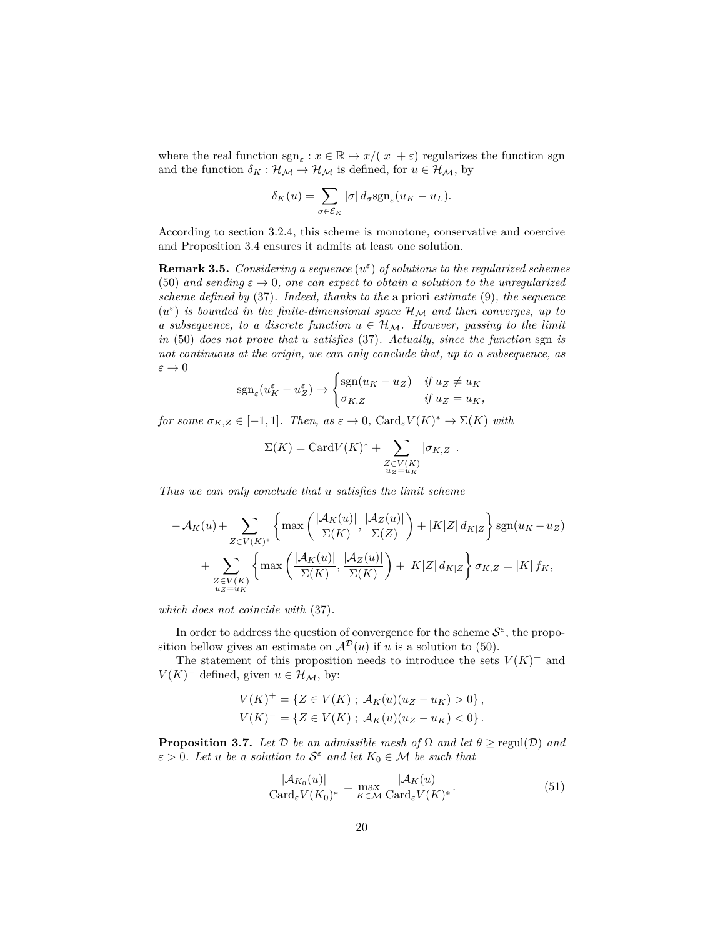where the real function  $\text{sgn}_{\varepsilon}: x \in \mathbb{R} \mapsto x/(|x| + \varepsilon)$  regularizes the function sgn and the function  $\delta_K : \mathcal{H}_M \to \mathcal{H}_M$  is defined, for  $u \in \mathcal{H}_M$ , by

$$
\delta_K(u) = \sum_{\sigma \in \mathcal{E}_K} |\sigma| \, d_{\sigma} \text{sgn}_{\varepsilon}(u_K - u_L).
$$

According to section 3.2.4, this scheme is monotone, conservative and coercive and Proposition 3.4 ensures it admits at least one solution.

**Remark 3.5.** *Considering a sequence* (*u ε* ) *of solutions to the regularized schemes* (50) and sending  $\varepsilon \to 0$ , one can expect to obtain a solution to the unregularized *scheme defined by* (37)*. Indeed, thanks to the* a priori *estimate* (9)*, the sequence*  $(u^{\varepsilon})$  *is bounded in the finite-dimensional space*  $\mathcal{H}_{\mathcal{M}}$  *and then converges, up to a subsequence, to a discrete function*  $u \in \mathcal{H}_M$ . However, passing to the limit *in* (50) *does not prove that u satisfies* (37)*. Actually, since the function* sgn *is not continuous at the origin, we can only conclude that, up to a subsequence, as*  $\varepsilon \to 0$ 

$$
sgn_{\varepsilon}(u_K^{\varepsilon} - u_Z^{\varepsilon}) \to \begin{cases} sgn(u_K - u_Z) & \text{if } u_Z \neq u_K \\ \sigma_{K,Z} & \text{if } u_Z = u_K, \end{cases}
$$

*for some*  $\sigma_{K,Z} \in [-1,1]$ *. Then, as*  $\varepsilon \to 0$ *,* Card<sub> $\epsilon$ </sub>*V*(*K*)<sup>\*</sup>  $\to \Sigma$ (*K*) *with* 

$$
\Sigma(K) = \text{Card}V(K)^* + \sum_{\substack{Z \in V(K) \\ u_Z = u_K}} |\sigma_{K,Z}|.
$$

*Thus we can only conclude that u satisfies the limit scheme*

$$
-\mathcal{A}_{K}(u) + \sum_{Z \in V(K)^{*}} \left\{ \max\left(\frac{|\mathcal{A}_{K}(u)|}{\Sigma(K)}, \frac{|\mathcal{A}_{Z}(u)|}{\Sigma(Z)}\right) + |K|Z| d_{K|Z} \right\} \operatorname{sgn}(u_{K} - u_{Z}) + \sum_{\substack{Z \in V(K) \\ u_{Z} = u_{K}}} \left\{ \max\left(\frac{|\mathcal{A}_{K}(u)|}{\Sigma(K)}, \frac{|\mathcal{A}_{Z}(u)|}{\Sigma(K)}\right) + |K|Z| d_{K|Z} \right\} \sigma_{K,Z} = |K| f_{K},
$$

*which does not coincide with* (37)*.*

In order to address the question of convergence for the scheme  $S^{\varepsilon}$ , the proposition bellow gives an estimate on  $\mathcal{A}^{\mathcal{D}}(u)$  if *u* is a solution to (50).

The statement of this proposition needs to introduce the sets  $V(K)^+$  and  $V(K)^-$  defined, given  $u \in \mathcal{H}_\mathcal{M}$ , by:

$$
V(K)^{+} = \{ Z \in V(K) ; \ A_K(u)(u_Z - u_K) > 0 \},
$$
  

$$
V(K)^{-} = \{ Z \in V(K) ; \ A_K(u)(u_Z - u_K) < 0 \}.
$$

**Proposition 3.7.** *Let*  $\mathcal{D}$  *be an admissible mesh of*  $\Omega$  *and let*  $\theta \ge \text{regul}(\mathcal{D})$  *and*  $\varepsilon > 0$ *. Let u be a solution to*  $S^{\varepsilon}$  *and let*  $K_0 \in \mathcal{M}$  *be such that* 

$$
\frac{|\mathcal{A}_{K_0}(u)|}{\text{Card}_{\varepsilon} V(K_0)^*} = \max_{K \in \mathcal{M}} \frac{|\mathcal{A}_K(u)|}{\text{Card}_{\varepsilon} V(K)^*}.
$$
\n(51)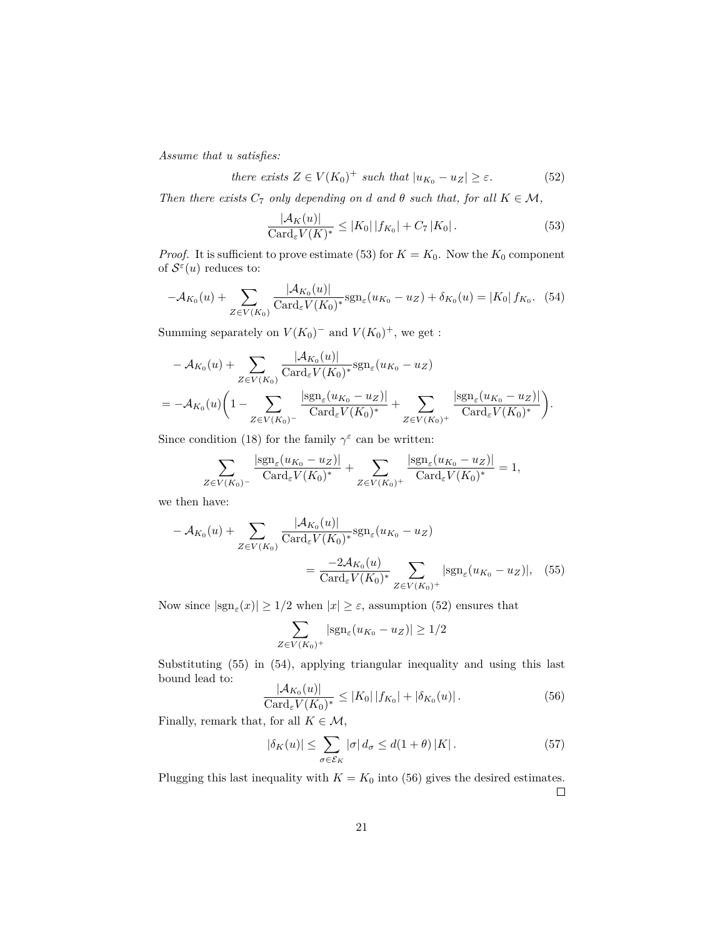*Assume that u satisfies:*

there exists 
$$
Z \in V(K_0)^+
$$
 such that  $|u_{K_0} - u_Z| \ge \varepsilon$ . (52)

*Then there exists*  $C_7$  *only depending on d* and  $\theta$  *such that, for all*  $K \in \mathcal{M}$ ,

$$
\frac{|\mathcal{A}_K(u)|}{\text{Card}_{\varepsilon} V(K)^*} \le |K_0| \, |f_{K_0}| + C_7 \, |K_0| \,. \tag{53}
$$

*Proof.* It is sufficient to prove estimate (53) for  $K = K_0$ . Now the  $K_0$  component of  $\mathcal{S}^{\varepsilon}(u)$  reduces to:

$$
-\mathcal{A}_{K_0}(u) + \sum_{Z \in V(K_0)} \frac{|\mathcal{A}_{K_0}(u)|}{\text{Card}_{\varepsilon} V(K_0)^*} \text{sgn}_{\varepsilon}(u_{K_0} - u_Z) + \delta_{K_0}(u) = |K_0| f_{K_0}.
$$
 (54)

Summing separately on  $V(K_0)^-$  and  $V(K_0)^+$ , we get :

$$
-A_{K_0}(u) + \sum_{Z \in V(K_0)} \frac{|A_{K_0}(u)|}{\text{Card}_{\varepsilon} V(K_0)^*} \text{sgn}_{\varepsilon}(u_{K_0} - u_Z)
$$
  
= 
$$
-A_{K_0}(u) \left(1 - \sum_{Z \in V(K_0)^-} \frac{|\text{sgn}_{\varepsilon}(u_{K_0} - u_Z)|}{\text{Card}_{\varepsilon} V(K_0)^*} + \sum_{Z \in V(K_0)^+} \frac{|\text{sgn}_{\varepsilon}(u_{K_0} - u_Z)|}{\text{Card}_{\varepsilon} V(K_0)^*}\right).
$$

Since condition (18) for the family  $\gamma^{\varepsilon}$  can be written:

$$
\sum_{Z \in V(K_0)^-} \frac{|\operatorname{sgn}_\varepsilon(u_{K_0} - u_Z)|}{\operatorname{Card}_\varepsilon V(K_0)^*} + \sum_{Z \in V(K_0)^+} \frac{|\operatorname{sgn}_\varepsilon(u_{K_0} - u_Z)|}{\operatorname{Card}_\varepsilon V(K_0)^*} = 1,
$$

we then have:

$$
-A_{K_0}(u) + \sum_{Z \in V(K_0)} \frac{|A_{K_0}(u)|}{\text{Card}_{\varepsilon} V(K_0)^*} \text{sgn}_{\varepsilon}(u_{K_0} - u_Z)
$$
  
= 
$$
\frac{-2A_{K_0}(u)}{\text{Card}_{\varepsilon} V(K_0)^*} \sum_{Z \in V(K_0)^+} |\text{sgn}_{\varepsilon}(u_{K_0} - u_Z)|, \quad (55)
$$

Now since  $|\text{sgn}_{\varepsilon}(x)| \geq 1/2$  when  $|x| \geq \varepsilon$ , assumption (52) ensures that

$$
\sum_{Z \in V(K_0)^+} |\text{sgn}_{\varepsilon}(u_{K_0} - u_Z)| \ge 1/2
$$

Substituting (55) in (54), applying triangular inequality and using this last bound lead to:

$$
\frac{|\mathcal{A}_{K_0}(u)|}{\text{Card}_{\varepsilon} V(K_0)^*} \le |K_0| \, |f_{K_0}| + |\delta_{K_0}(u)|. \tag{56}
$$

Finally, remark that, for all  $K \in \mathcal{M}$ ,

$$
|\delta_K(u)| \leq \sum_{\sigma \in \mathcal{E}_K} |\sigma| \, d_{\sigma} \leq d(1+\theta) \, |K| \,. \tag{57}
$$

Plugging this last inequality with  $K = K_0$  into (56) gives the desired estimates.  $\Box$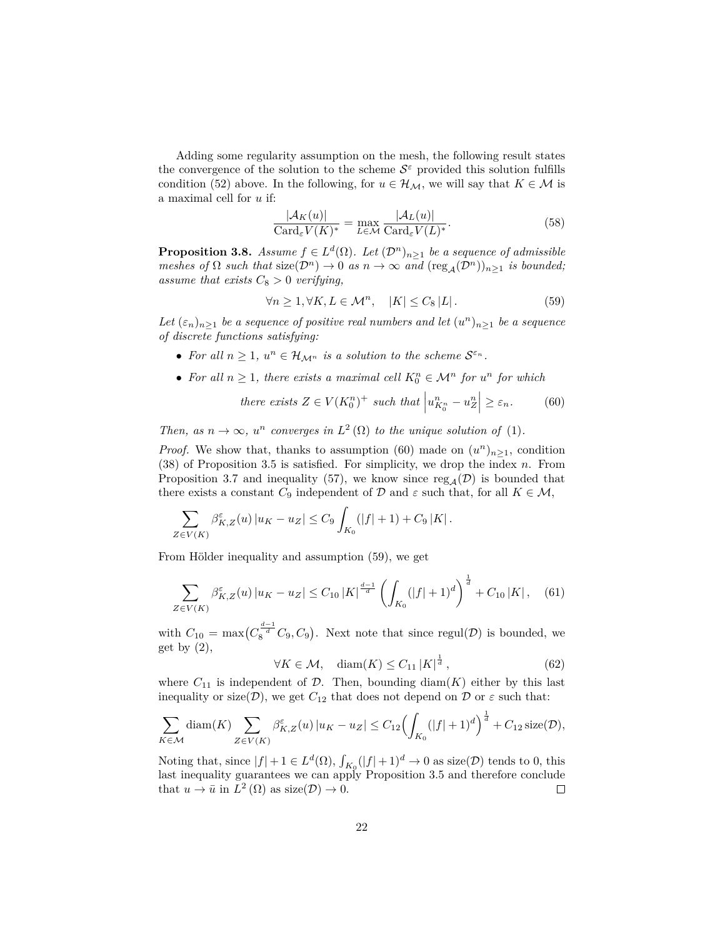Adding some regularity assumption on the mesh, the following result states the convergence of the solution to the scheme  $S^{\varepsilon}$  provided this solution fulfills condition (52) above. In the following, for  $u \in \mathcal{H}_{\mathcal{M}}$ , we will say that  $K \in \mathcal{M}$  is a maximal cell for *u* if:

$$
\frac{|\mathcal{A}_K(u)|}{\text{Card}_{\varepsilon} V(K)^*} = \max_{L \in \mathcal{M}} \frac{|\mathcal{A}_L(u)|}{\text{Card}_{\varepsilon} V(L)^*}.
$$
\n(58)

**Proposition 3.8.** *Assume*  $f \in L^d(\Omega)$ *. Let*  $(\mathcal{D}^n)_{n \geq 1}$  *be a sequence of admissible meshes of*  $\Omega$  *such that*  $size(\mathcal{D}^n) \to 0$  *as*  $n \to \infty$  *and*  $(res_{\mathcal{A}}(\mathcal{D}^n))_{n \geq 1}$  *is bounded; assume that exists*  $C_8 > 0$  *verifying,* 

$$
\forall n \ge 1, \forall K, L \in \mathcal{M}^n, \quad |K| \le C_8 |L|.
$$
 (59)

Let  $(\varepsilon_n)_{n\geq 1}$  *be a sequence of positive real numbers and let*  $(u^n)_{n\geq 1}$  *be a sequence of discrete functions satisfying:*

- For all  $n \geq 1$ ,  $u^n \in \mathcal{H}_{\mathcal{M}^n}$  is a solution to the scheme  $\mathcal{S}^{\varepsilon_n}$ .
- For all  $n \geq 1$ , there exists a maximal cell  $K_0^n \in \mathcal{M}^n$  for  $u^n$  for which

there exists 
$$
Z \in V(K_0^n)^+
$$
 such that  $\left| u_{K_0^n}^n - u_Z^n \right| \geq \varepsilon_n$ . (60)

*Then, as*  $n \to \infty$ *,*  $u^n$  *converges in*  $L^2(\Omega)$  *to the unique solution of* (1)*.* 

*Proof.* We show that, thanks to assumption (60) made on  $(u^n)_{n\geq 1}$ , condition (38) of Proposition 3.5 is satisfied. For simplicity, we drop the index *n*. From Proposition 3.7 and inequality (57), we know since  $\text{reg}_{A}(\mathcal{D})$  is bounded that there exists a constant  $C_9$  independent of  $\mathcal D$  and  $\varepsilon$  such that, for all  $K \in \mathcal M$ ,

$$
\sum_{Z \in V(K)} \beta_{K,Z}^{\varepsilon}(u) |u_K - u_Z| \leq C_9 \int_{K_0} (|f| + 1) + C_9 |K|.
$$

From Hölder inequality and assumption (59), we get

$$
\sum_{Z \in V(K)} \beta_{K,Z}^{\varepsilon}(u) |u_K - u_Z| \le C_{10} |K|^{\frac{d-1}{d}} \left( \int_{K_0} (|f| + 1)^d \right)^{\frac{1}{d}} + C_{10} |K|, \quad (61)
$$

with  $C_{10} = \max(C_8^{\frac{d-1}{d}}C_9, C_9)$ . Next note that since regul(D) is bounded, we get by  $(2)$ ,

$$
\forall K \in \mathcal{M}, \quad \text{diam}(K) \le C_{11} \left| K \right|^{\frac{1}{d}}, \tag{62}
$$

where  $C_{11}$  is independent of  $D$ . Then, bounding diam( $K$ ) either by this last inequality or size( $\mathcal{D}$ ), we get  $C_{12}$  that does not depend on  $\mathcal D$  or  $\varepsilon$  such that:

$$
\sum_{K \in \mathcal{M}} \text{diam}(K) \sum_{Z \in V(K)} \beta_{K,Z}^{\varepsilon}(u) |u_K - u_Z| \le C_{12} \Bigl( \int_{K_0} (|f| + 1)^d \Bigr)^{\frac{1}{d}} + C_{12} \text{ size}(\mathcal{D}),
$$

Noting that, since  $|f| + 1 \in L^d(\Omega)$ ,  $\int_{K_0} (|f| + 1)^d \to 0$  as size(*D*) tends to 0, this last inequality guarantees we can apply Proposition 3.5 and therefore conclude that  $u \to \bar{u}$  in  $L^2(\Omega)$  as size( $\mathcal{D}$ )  $\to 0$ .  $\Box$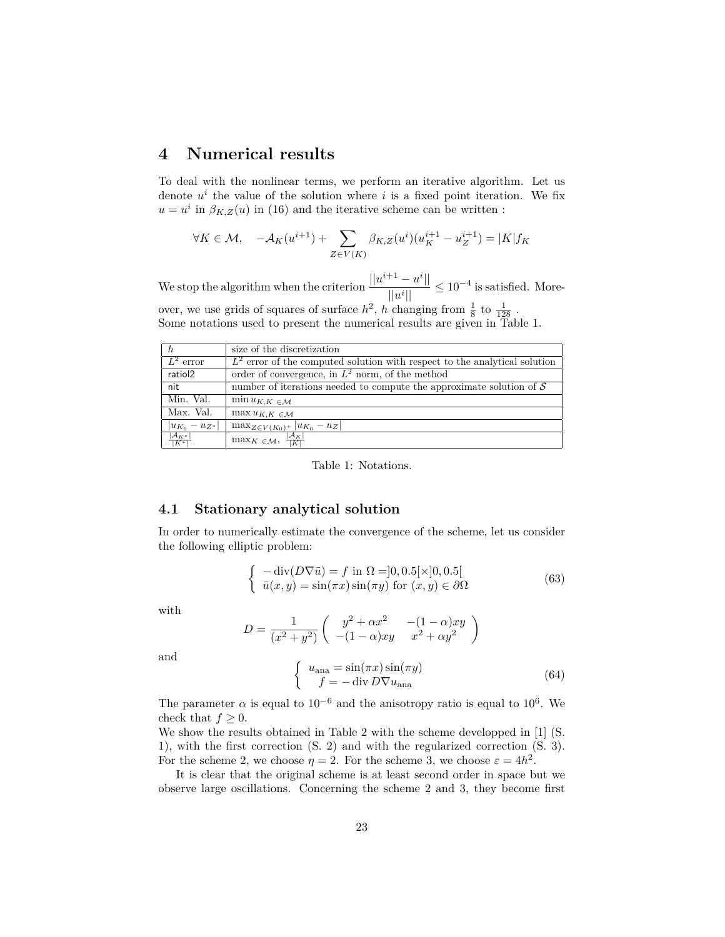# **4 Numerical results**

To deal with the nonlinear terms, we perform an iterative algorithm. Let us denote  $u^i$  the value of the solution where  $i$  is a fixed point iteration. We fix  $u = u^i$  in  $\beta_{K,Z}(u)$  in (16) and the iterative scheme can be written :

$$
\forall K \in \mathcal{M}, \quad -\mathcal{A}_K(u^{i+1}) + \sum_{Z \in V(K)} \beta_{K,Z}(u^i)(u_K^{i+1} - u_Z^{i+1}) = |K|f_K
$$

We stop the algorithm when the criterion  $\frac{||u^{i+1} - u^i||}{||u||}$  $\frac{|u - u|}{||u^i||} \le 10^{-4}$  is satisfied. Moreover, we use grids of squares of surface  $h^2$ , h changing from  $\frac{1}{8}$  to  $\frac{1}{128}$ . Some notations used to present the numerical results are given in Table 1.

| $\hbar$                   | size of the discretization                                                      |
|---------------------------|---------------------------------------------------------------------------------|
| $\overline{L^2$ error     | $L^2$ error of the computed solution with respect to the analytical solution    |
| ratiol2                   | order of convergence, in $L^2$ norm, of the method                              |
| nit                       | number of iterations needed to compute the approximate solution of $\mathcal S$ |
| Min. Val.                 | $\min u_{K,K} \in M$                                                            |
| Max. Val.                 | $\max u_{K,K} \in \mathcal{M}$                                                  |
| $ u_{K_0} - u_{Z^*} $     | $\max_{Z \in V(K_0)^+}  u_{K_0} - u_Z $                                         |
| $\frac{ A_{K^*} }{ K^* }$ | $\overline{\max_{K \in \mathcal{M}}, \frac{ \mathcal{A}_K }{ K }}$              |

Table 1: Notations.

#### **4.1 Stationary analytical solution**

In order to numerically estimate the convergence of the scheme, let us consider the following elliptic problem:

$$
\begin{cases}\n-\text{div}(D\nabla \bar{u}) = f \text{ in } \Omega = ]0, 0.5[\times]0, 0.5[\n\\ \bar{u}(x, y) = \sin(\pi x) \sin(\pi y) \text{ for } (x, y) \in \partial\Omega\n\end{cases}
$$
\n(63)

with

$$
D = \frac{1}{(x^2 + y^2)} \begin{pmatrix} y^2 + \alpha x^2 & -(1 - \alpha)xy \\ -(1 - \alpha)xy & x^2 + \alpha y^2 \end{pmatrix}
$$

and

$$
\begin{cases}\n u_{\text{ana}} = \sin(\pi x) \sin(\pi y) \\
 f = -\operatorname{div} D \nabla u_{\text{ana}}\n\end{cases} (64)
$$

The parameter  $\alpha$  is equal to 10<sup>-6</sup> and the anisotropy ratio is equal to 10<sup>6</sup>. We check that  $f \geq 0$ .

We show the results obtained in Table 2 with the scheme developped in [1] (S. 1), with the first correction (S. 2) and with the regularized correction (S. 3). For the scheme 2, we choose  $\eta = 2$ . For the scheme 3, we choose  $\varepsilon = 4h^2$ .

It is clear that the original scheme is at least second order in space but we observe large oscillations. Concerning the scheme 2 and 3, they become first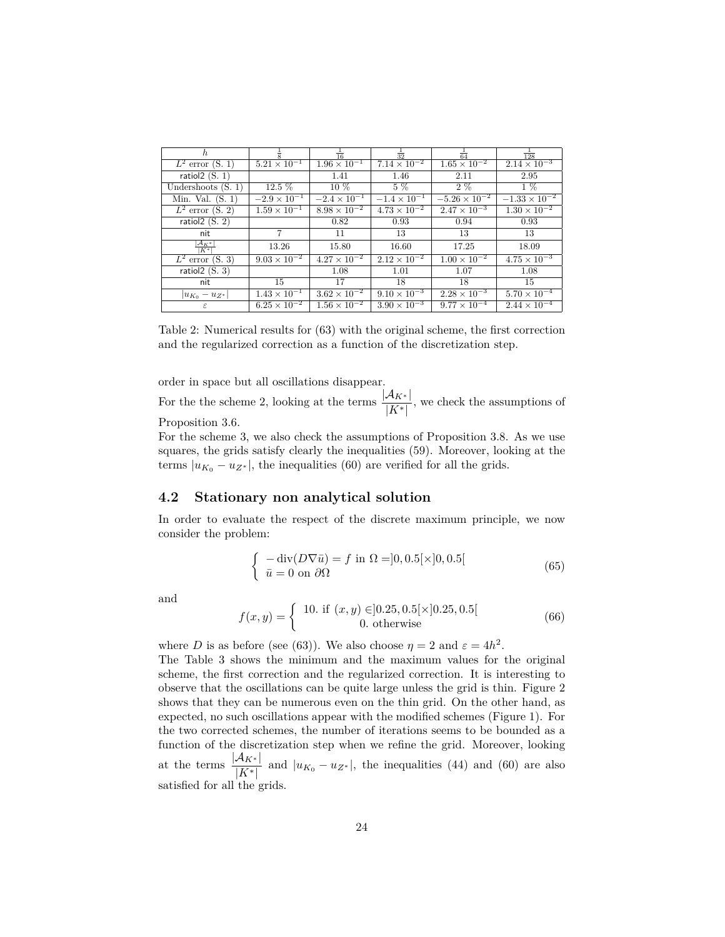| h.                               |                                  | $\overline{16}$       | $rac{1}{32}$          | $rac{1}{64}$           | $\frac{1}{128}$        |
|----------------------------------|----------------------------------|-----------------------|-----------------------|------------------------|------------------------|
| $L^2$ error (S. 1)               | $5.21 \times 10^{-1}$            | $1.96 \times 10^{-1}$ | $7.14 \times 10^{-2}$ | $1.65 \times 10^{-2}$  | $2.14 \times 10^{-3}$  |
| ratiol $2(S. 1)$                 |                                  | 1.41                  | 1.46                  | 2.11                   | 2.95                   |
| Undershoots $(S. 1)$             | $12.5\%$                         | 10 %                  | $5\%$                 | $2\%$                  | $1\%$                  |
| Min. Val. $(S. 1)$               | $-2.9 \times 10^{-1}$            | $-2.4 \times 10^{-1}$ | $-1.4 \times 10^{-1}$ | $-5.26 \times 10^{-2}$ | $-1.33 \times 10^{-2}$ |
| $L^2$ error (S. 2)               | $1.\overline{59 \times 10^{-1}}$ | $8.98 \times 10^{-2}$ | $4.73 \times 10^{-2}$ | $2.47 \times 10^{-3}$  | $1.30 \times 10^{-2}$  |
| ratiol $2(S. 2)$                 |                                  | 0.82                  | 0.93                  | 0.94                   | 0.93                   |
| nit                              | 7                                | 11                    | 13                    | 13                     | 13                     |
| $\frac{ {\cal A}_{K^*} }{ K^* }$ | 13.26                            | 15.80                 | 16.60                 | 17.25                  | 18.09                  |
| $L^2$ error (S. 3)               | $9.03 \times 10^{-2}$            | $4.27 \times 10^{-2}$ | $2.12 \times 10^{-2}$ | $1.00 \times 10^{-2}$  | $4.75 \times 10^{-3}$  |
| ratiol $2(S. 3)$                 |                                  | 1.08                  | 1.01                  | 1.07                   | 1.08                   |
| nit                              | 15                               | 17                    | 18                    | 18                     | 15                     |
| $ u_{K_0} - u_{Z^*} $            | $1.43 \times 10^{-1}$            | $3.62 \times 10^{-2}$ | $9.10 \times 10^{-3}$ | $2.28 \times 10^{-3}$  | $5.70 \times 10^{-4}$  |
| $\varepsilon$                    | $6.25 \times 10^{-2}$            | $1.56 \times 10^{-2}$ | $3.90 \times 10^{-3}$ | $9.77 \times 10^{-4}$  | $2.44 \times 10^{-4}$  |

Table 2: Numerical results for (63) with the original scheme, the first correction and the regularized correction as a function of the discretization step.

order in space but all oscillations disappear.

For the the scheme 2, looking at the terms  $\frac{|A_{K^*}|}{|K^*|}$ , we check the assumptions of Proposition 3.6.

For the scheme 3, we also check the assumptions of Proposition 3.8. As we use squares, the grids satisfy clearly the inequalities (59). Moreover, looking at the terms  $|u_{K_0} - u_{Z^*}|$ , the inequalities (60) are verified for all the grids.

#### **4.2 Stationary non analytical solution**

In order to evaluate the respect of the discrete maximum principle, we now consider the problem:

$$
\begin{cases}\n-\text{div}(D\nabla\bar{u}) = f \text{ in } \Omega = ]0, 0.5[\times]0, 0.5[\n\overline{u} = 0 \text{ on } \partial\Omega\n\end{cases} (65)
$$

and

$$
f(x,y) = \begin{cases} 10. \text{ if } (x,y) \in ]0.25, 0.5[\times]0.25, 0.5[\\ 0. \text{ otherwise} \end{cases}
$$
(66)

where *D* is as before (see (63)). We also choose  $\eta = 2$  and  $\varepsilon = 4h^2$ .

The Table 3 shows the minimum and the maximum values for the original scheme, the first correction and the regularized correction. It is interesting to observe that the oscillations can be quite large unless the grid is thin. Figure 2 shows that they can be numerous even on the thin grid. On the other hand, as expected, no such oscillations appear with the modified schemes (Figure 1). For the two corrected schemes, the number of iterations seems to be bounded as a function of the discretization step when we refine the grid. Moreover, looking at the terms  $\frac{|A_{K^*}|}{|K^*|}$  and  $|u_{K_0} - u_{Z^*}|$ , the inequalities (44) and (60) are also satisfied for all the grids.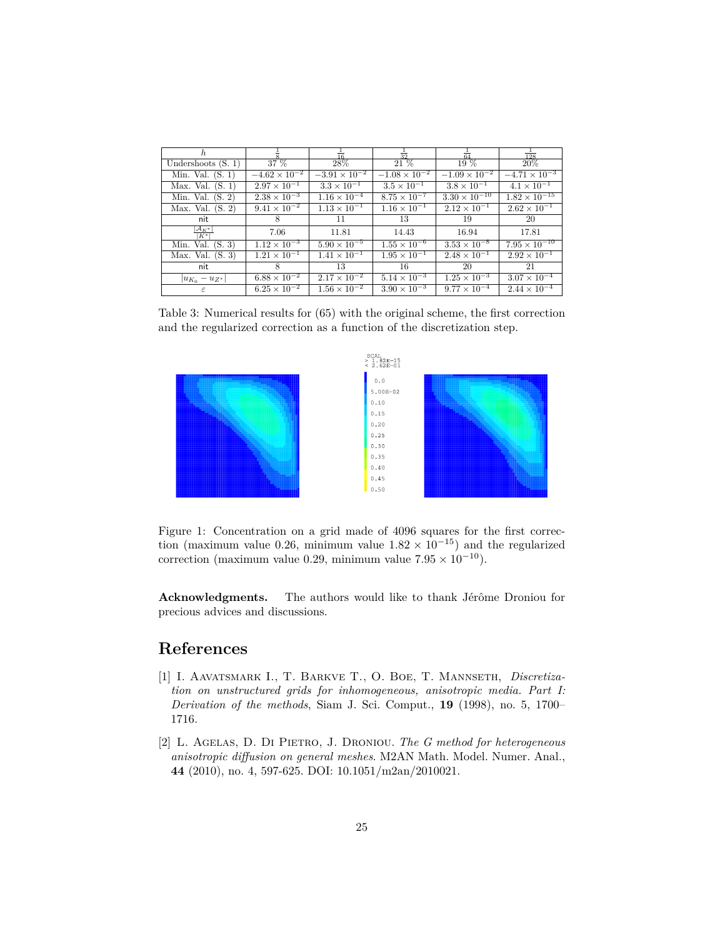| h.                               |                        | $\overline{16}$        | $\overline{32}$        | $\overline{64}$        | $\overline{128}$       |
|----------------------------------|------------------------|------------------------|------------------------|------------------------|------------------------|
| Undershoots $(S, 1)$             | 37 %                   | 28%                    | 21 %                   | 19 %                   | 20%                    |
| Min. Val. $(S. 1)$               | $-4.62 \times 10^{-2}$ | $-3.91 \times 10^{-2}$ | $-1.08 \times 10^{-2}$ | $-1.09 \times 10^{-2}$ | $-4.71 \times 10^{-3}$ |
| (S. 1)<br>Max. Val.              | $2.97 \times 10^{-1}$  | $3.3 \times 10^{-1}$   | $3.5 \times 10^{-1}$   | $3.8 \times 10^{-1}$   | $4.1 \times 10^{-1}$   |
| (S, 2)<br>Min. Val.              | $2.38 \times 10^{-3}$  | $1.16 \times 10^{-4}$  | $8.75 \times 10^{-7}$  | $3.30 \times 10^{-10}$ | $1.82 \times 10^{-15}$ |
| (S. 2)<br>Max. Val.              | $9.41 \times 10^{-2}$  | $1.13 \times 10^{-1}$  | $1.16 \times 10^{-1}$  | $2.12 \times 10^{-1}$  | $2.62 \times 10^{-1}$  |
| nit                              | 8                      | 11                     | 13                     | 19                     | 20                     |
| $\frac{ {\cal A}_{K^*} }{ K^* }$ | 7.06                   | 11.81                  | 14.43                  | 16.94                  | 17.81                  |
| Val.<br>(S. 3)<br>Min.           | $1.12 \times 10^{-3}$  | $5.90 \times 10^{-5}$  | $1.55 \times 10^{-6}$  | $3.53 \times 10^{-8}$  | $7.95 \times 10^{-10}$ |
| Max. Val.<br>(S. 3)              | $1.21 \times 10^{-1}$  | $1.41 \times 10^{-1}$  | $1.95 \times 10^{-1}$  | $2.48 \times 10^{-1}$  | $2.92 \times 10^{-1}$  |
| nit                              | 8                      | 13                     | 16                     | 20                     | 21                     |
| $ u_{K_0} - u_{Z^*} $            | $6.88 \times 10^{-2}$  | $2.17 \times 10^{-2}$  | $5.14 \times 10^{-3}$  | $1.25 \times 10^{-3}$  | $3.07 \times 10^{-4}$  |
| ε                                | $6.25 \times 10^{-2}$  | $1.56 \times 10^{-2}$  | $3.90 \times 10^{-3}$  | $9.77 \times 10^{-4}$  | $2.44 \times 10^{-4}$  |

Table 3: Numerical results for (65) with the original scheme, the first correction and the regularized correction as a function of the discretization step.



Figure 1: Concentration on a grid made of 4096 squares for the first correction (maximum value 0.26, minimum value  $1.82 \times 10^{-15}$ ) and the regularized correction (maximum value 0.29, minimum value  $7.95 \times 10^{-10}$ ).

**Acknowledgments.** The authors would like to thank Jérôme Droniou for precious advices and discussions.

## **References**

- [1] I. Aavatsmark I., T. Barkve T., O. Boe, T. Mannseth, *Discretization on unstructured grids for inhomogeneous, anisotropic media. Part I: Derivation of the methods*, Siam J. Sci. Comput., **19** (1998), no. 5, 1700– 1716.
- [2] L. Agelas, D. Di Pietro, J. Droniou. *The G method for heterogeneous anisotropic diffusion on general meshes*. M2AN Math. Model. Numer. Anal., **44** (2010), no. 4, 597-625. DOI: 10.1051/m2an/2010021.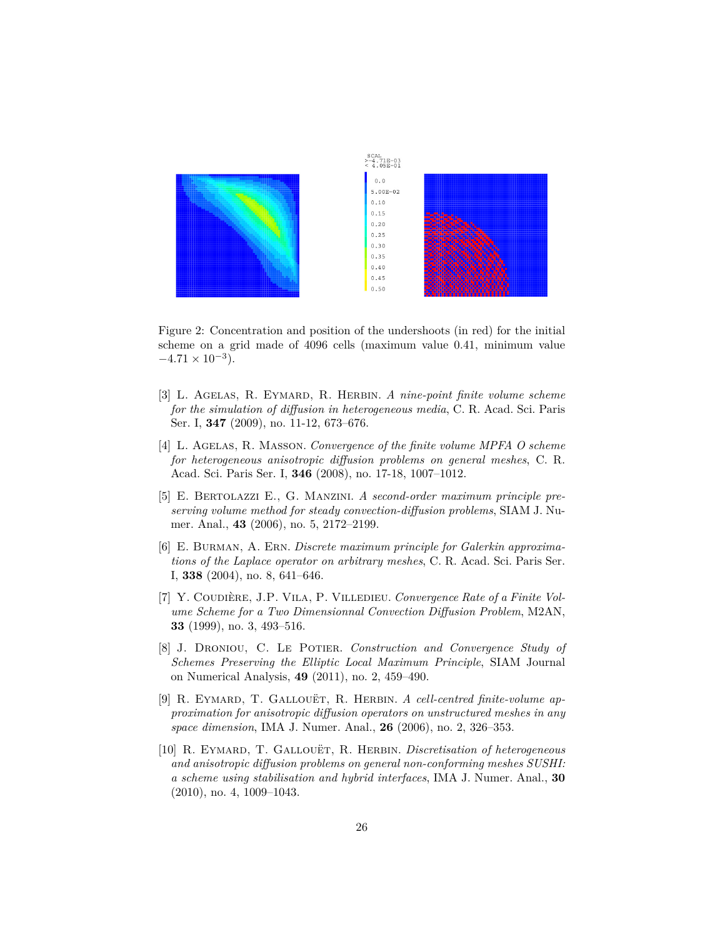

Figure 2: Concentration and position of the undershoots (in red) for the initial scheme on a grid made of 4096 cells (maximum value 0*.*41, minimum value  $-4.71 \times 10^{-3}$ ).

- [3] L. Agelas, R. Eymard, R. Herbin. *A nine-point finite volume scheme for the simulation of diffusion in heterogeneous media*, C. R. Acad. Sci. Paris Ser. I, **347** (2009), no. 11-12, 673–676.
- [4] L. Agelas, R. Masson. *Convergence of the finite volume MPFA O scheme for heterogeneous anisotropic diffusion problems on general meshes*, C. R. Acad. Sci. Paris Ser. I, **346** (2008), no. 17-18, 1007–1012.
- [5] E. Bertolazzi E., G. Manzini. *A second-order maximum principle preserving volume method for steady convection-diffusion problems*, SIAM J. Numer. Anal., **43** (2006), no. 5, 2172–2199.
- [6] E. Burman, A. Ern. *Discrete maximum principle for Galerkin approximations of the Laplace operator on arbitrary meshes*, C. R. Acad. Sci. Paris Ser. I, **338** (2004), no. 8, 641–646.
- [7] Y. Coudière, J.P. Vila, P. Villedieu. *Convergence Rate of a Finite Volume Scheme for a Two Dimensionnal Convection Diffusion Problem*, M2AN, **33** (1999), no. 3, 493–516.
- [8] J. Droniou, C. Le Potier. *Construction and Convergence Study of Schemes Preserving the Elliptic Local Maximum Principle*, SIAM Journal on Numerical Analysis, **49** (2011), no. 2, 459–490.
- [9] R. Eymard, T. Gallouët, R. Herbin. *A cell-centred finite-volume approximation for anisotropic diffusion operators on unstructured meshes in any space dimension*, IMA J. Numer. Anal., **26** (2006), no. 2, 326–353.
- [10] R. Eymard, T. Gallouët, R. Herbin. *Discretisation of heterogeneous and anisotropic diffusion problems on general non-conforming meshes SUSHI: a scheme using stabilisation and hybrid interfaces*, IMA J. Numer. Anal., **30** (2010), no. 4, 1009–1043.